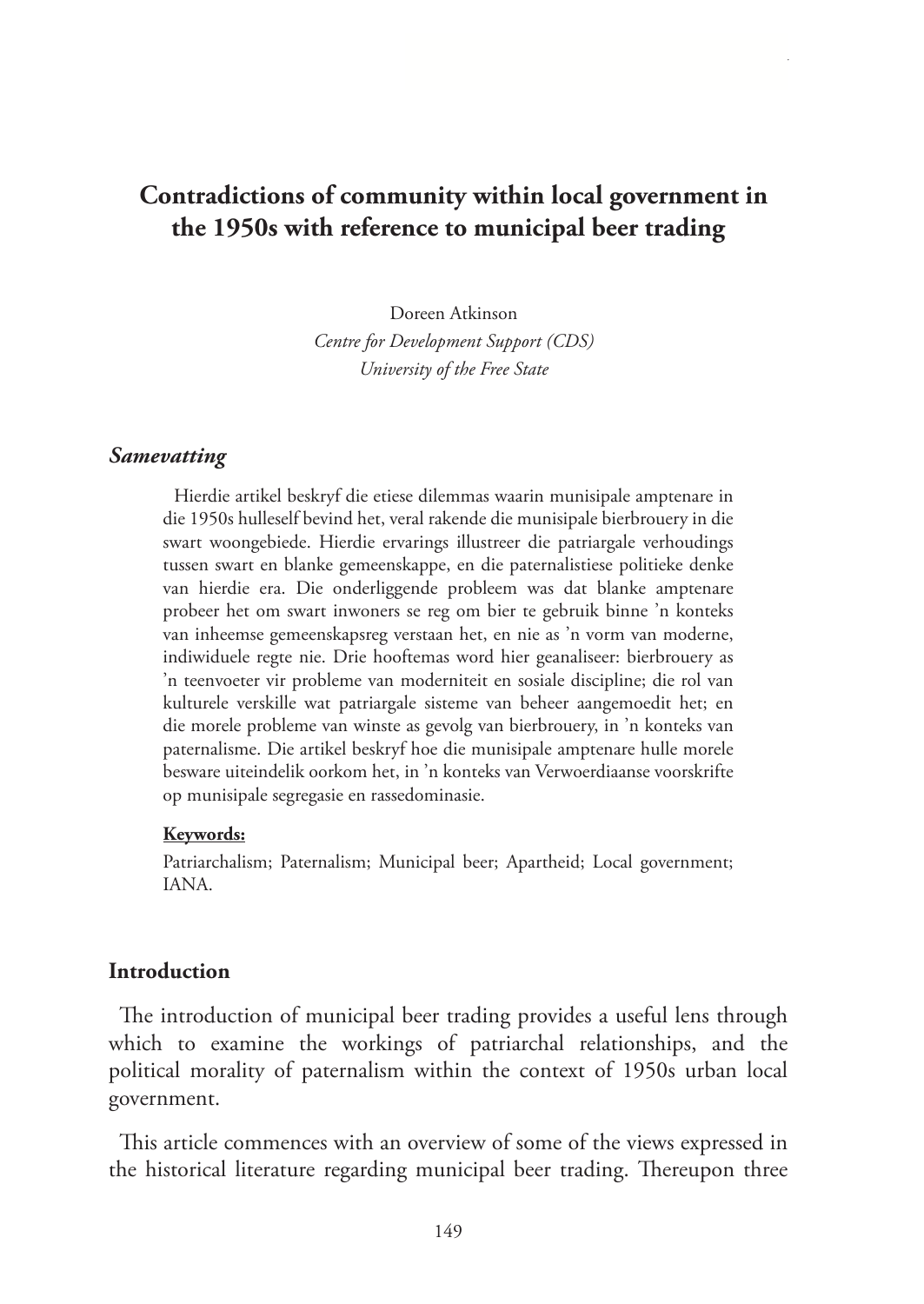# **Contradictions of community within local government in the 1950s with reference to municipal beer trading**

Doreen Atkinson *Centre for Development Support (CDS) University of the Free State* 

### *Samevatting*

Hierdie artikel beskryf die etiese dilemmas waarin munisipale amptenare in die 1950s hulleself bevind het, veral rakende die munisipale bierbrouery in die swart woongebiede. Hierdie ervarings illustreer die patriargale verhoudings tussen swart en blanke gemeenskappe, en die paternalistiese politieke denke van hierdie era. Die onderliggende probleem was dat blanke amptenare probeer het om swart inwoners se reg om bier te gebruik binne 'n konteks van inheemse gemeenskapsreg verstaan het, en nie as 'n vorm van moderne, indiwiduele regte nie. Drie hooftemas word hier geanaliseer: bierbrouery as 'n teenvoeter vir probleme van moderniteit en sosiale discipline; die rol van kulturele verskille wat patriargale sisteme van beheer aangemoedit het; en die morele probleme van winste as gevolg van bierbrouery, in 'n konteks van paternalisme. Die artikel beskryf hoe die munisipale amptenare hulle morele besware uiteindelik oorkom het, in 'n konteks van Verwoerdiaanse voorskrifte op munisipale segregasie en rassedominasie.

#### **Keywords:**

Patriarchalism; Paternalism; Municipal beer; Apartheid; Local government; IANA.

#### **Introduction**

The introduction of municipal beer trading provides a useful lens through which to examine the workings of patriarchal relationships, and the political morality of paternalism within the context of 1950s urban local government.

This article commences with an overview of some of the views expressed in the historical literature regarding municipal beer trading. Thereupon three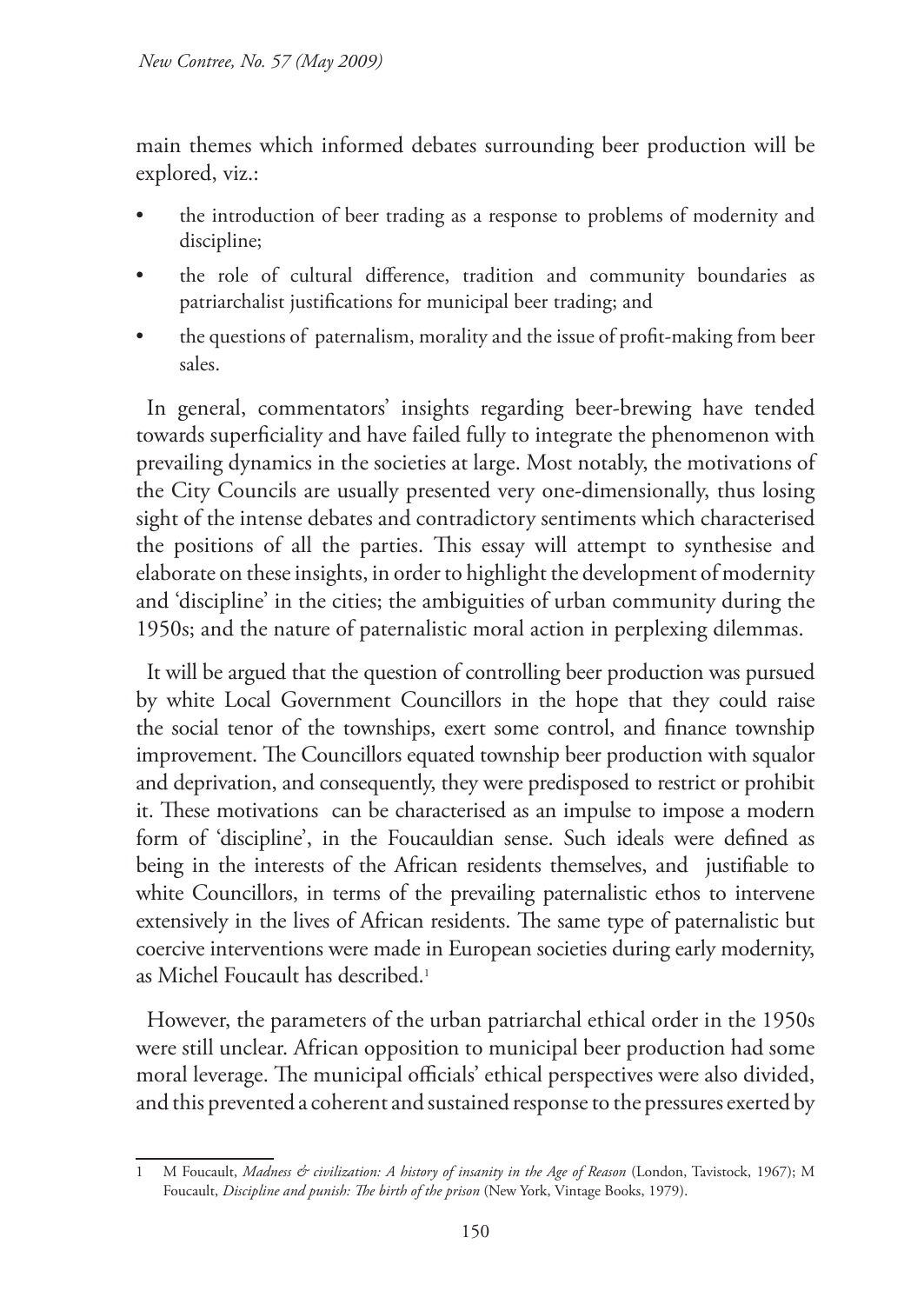main themes which informed debates surrounding beer production will be explored, viz.:

- the introduction of beer trading as a response to problems of modernity and discipline;
- the role of cultural difference, tradition and community boundaries as patriarchalist justifications for municipal beer trading; and
- the questions of paternalism, morality and the issue of profit-making from beer sales.

In general, commentators' insights regarding beer-brewing have tended towards superficiality and have failed fully to integrate the phenomenon with prevailing dynamics in the societies at large. Most notably, the motivations of the City Councils are usually presented very one-dimensionally, thus losing sight of the intense debates and contradictory sentiments which characterised the positions of all the parties. This essay will attempt to synthesise and elaborate on these insights, in order to highlight the development of modernity and 'discipline' in the cities; the ambiguities of urban community during the 1950s; and the nature of paternalistic moral action in perplexing dilemmas.

It will be argued that the question of controlling beer production was pursued by white Local Government Councillors in the hope that they could raise the social tenor of the townships, exert some control, and finance township improvement. The Councillors equated township beer production with squalor and deprivation, and consequently, they were predisposed to restrict or prohibit it. These motivations can be characterised as an impulse to impose a modern form of 'discipline', in the Foucauldian sense. Such ideals were defined as being in the interests of the African residents themselves, and justifiable to white Councillors, in terms of the prevailing paternalistic ethos to intervene extensively in the lives of African residents. The same type of paternalistic but coercive interventions were made in European societies during early modernity, as Michel Foucault has described.<sup>1</sup>

However, the parameters of the urban patriarchal ethical order in the 1950s were still unclear. African opposition to municipal beer production had some moral leverage. The municipal officials' ethical perspectives were also divided, and this prevented a coherent and sustained response to the pressures exerted by

<sup>1</sup> M Foucault, *Madness & civilization: A history of insanity in the Age of Reason* (London, Tavistock, 1967); M Foucault, *Discipline and punish: The birth of the prison* (New York, Vintage Books, 1979).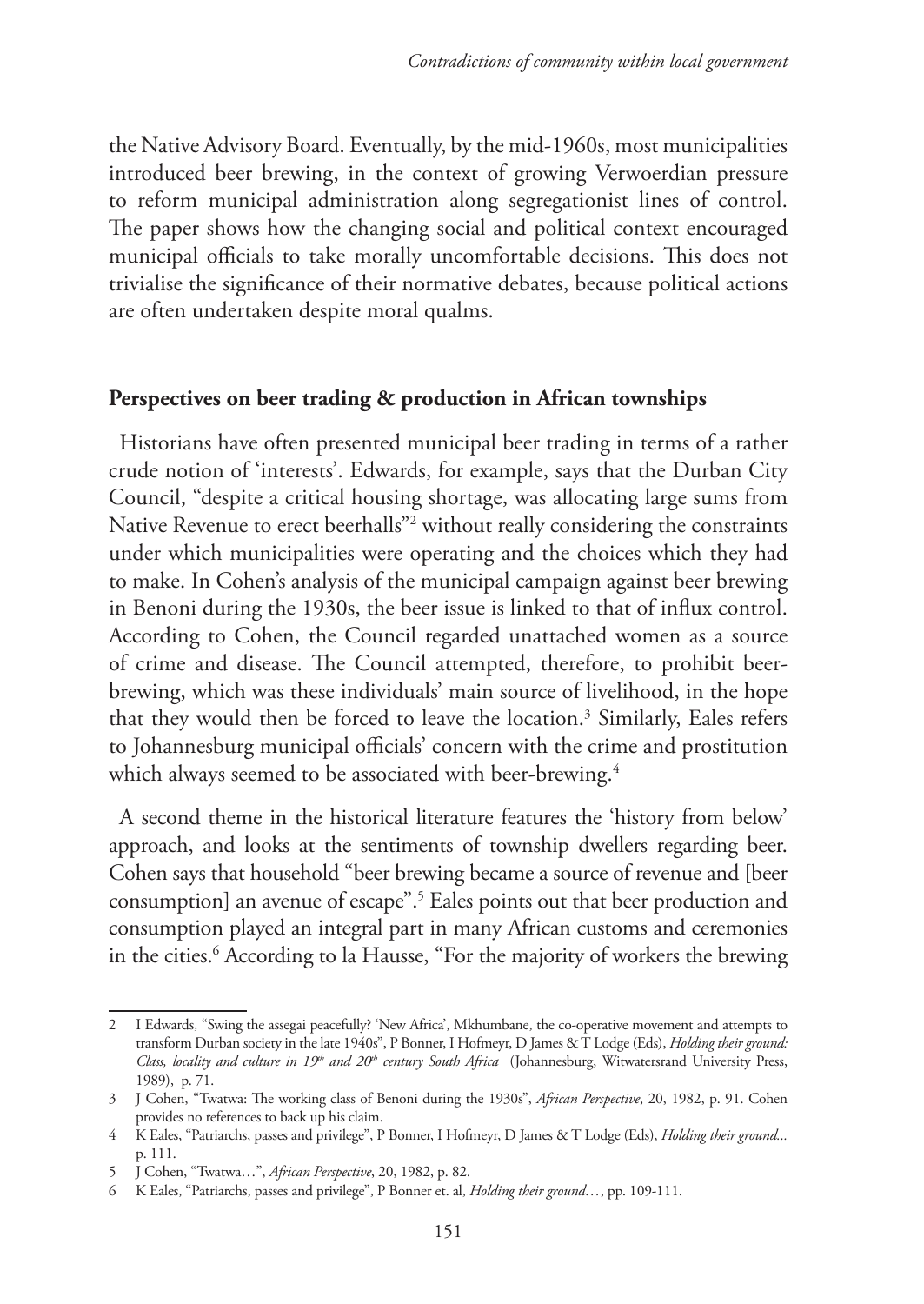the Native Advisory Board. Eventually, by the mid-1960s, most municipalities introduced beer brewing, in the context of growing Verwoerdian pressure to reform municipal administration along segregationist lines of control. The paper shows how the changing social and political context encouraged municipal officials to take morally uncomfortable decisions. This does not trivialise the significance of their normative debates, because political actions are often undertaken despite moral qualms.

### **Perspectives on beer trading & production in African townships**

Historians have often presented municipal beer trading in terms of a rather crude notion of 'interests'. Edwards, for example, says that the Durban City Council, "despite a critical housing shortage, was allocating large sums from Native Revenue to erect beerhalls"2 without really considering the constraints under which municipalities were operating and the choices which they had to make. In Cohen's analysis of the municipal campaign against beer brewing in Benoni during the 1930s, the beer issue is linked to that of influx control. According to Cohen, the Council regarded unattached women as a source of crime and disease. The Council attempted, therefore, to prohibit beerbrewing, which was these individuals' main source of livelihood, in the hope that they would then be forced to leave the location.3 Similarly, Eales refers to Johannesburg municipal officials' concern with the crime and prostitution which always seemed to be associated with beer-brewing. $^4$ 

A second theme in the historical literature features the 'history from below' approach, and looks at the sentiments of township dwellers regarding beer. Cohen says that household "beer brewing became a source of revenue and [beer consumption] an avenue of escape".5 Eales points out that beer production and consumption played an integral part in many African customs and ceremonies in the cities.6 According to la Hausse, "For the majority of workers the brewing

<sup>2</sup> I Edwards, "Swing the assegai peacefully? 'New Africa', Mkhumbane, the co-operative movement and attempts to transform Durban society in the late 1940s", P Bonner, I Hofmeyr, D James & T Lodge (Eds), *Holding their ground: Class, locality and culture in 19th and 20th century South Africa* (Johannesburg, Witwatersrand University Press, 1989), p. 71.

<sup>3</sup> J Cohen, "Twatwa: The working class of Benoni during the 1930s", *African Perspective*, 20, 1982, p. 91. Cohen provides no references to back up his claim.

<sup>4</sup> K Eales, "Patriarchs, passes and privilege", P Bonner, I Hofmeyr, D James & T Lodge (Eds), *Holding their ground...*  p. 111.

<sup>5</sup> J Cohen, "Twatwa…", *African Perspective*, 20, 1982, p. 82.

<sup>6</sup> K Eales, "Patriarchs, passes and privilege", P Bonner et. al, *Holding their ground…*, pp. 109-111.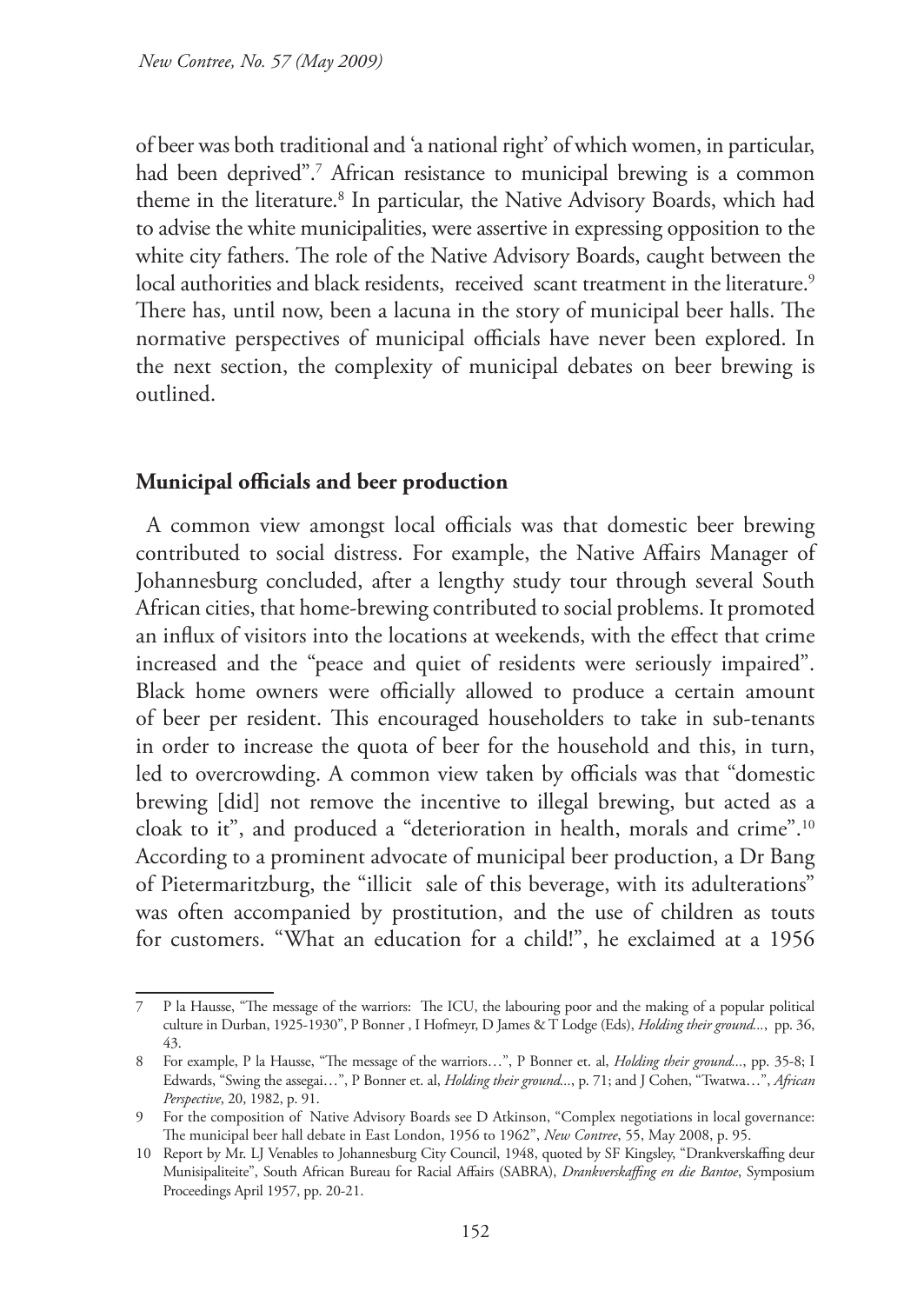of beer was both traditional and 'a national right' of which women, in particular, had been deprived".7 African resistance to municipal brewing is a common theme in the literature.<sup>8</sup> In particular, the Native Advisory Boards, which had to advise the white municipalities, were assertive in expressing opposition to the white city fathers. The role of the Native Advisory Boards, caught between the local authorities and black residents, received scant treatment in the literature.<sup>9</sup> There has, until now, been a lacuna in the story of municipal beer halls. The normative perspectives of municipal officials have never been explored. In the next section, the complexity of municipal debates on beer brewing is outlined.

### **Municipal officials and beer production**

A common view amongst local officials was that domestic beer brewing contributed to social distress. For example, the Native Affairs Manager of Johannesburg concluded, after a lengthy study tour through several South African cities, that home-brewing contributed to social problems. It promoted an influx of visitors into the locations at weekends, with the effect that crime increased and the "peace and quiet of residents were seriously impaired". Black home owners were officially allowed to produce a certain amount of beer per resident. This encouraged householders to take in sub-tenants in order to increase the quota of beer for the household and this, in turn, led to overcrowding. A common view taken by officials was that "domestic brewing [did] not remove the incentive to illegal brewing, but acted as a cloak to it", and produced a "deterioration in health, morals and crime".10 According to a prominent advocate of municipal beer production, a Dr Bang of Pietermaritzburg, the "illicit sale of this beverage, with its adulterations" was often accompanied by prostitution, and the use of children as touts for customers. "What an education for a child!", he exclaimed at a 1956

<sup>7</sup> P la Hausse, "The message of the warriors: The ICU, the labouring poor and the making of a popular political culture in Durban, 1925-1930", P Bonner , I Hofmeyr, D James & T Lodge (Eds), *Holding their ground...*, pp. 36, 43.

<sup>8</sup> For example, P la Hausse, "The message of the warriors…", P Bonner et. al, *Holding their ground...*, pp. 35-8; I Edwards, "Swing the assegai…", P Bonner et. al, *Holding their ground...*, p. 71; and J Cohen, "Twatwa…", *African Perspective*, 20, 1982, p. 91.

<sup>9</sup> For the composition of Native Advisory Boards see D Atkinson, "Complex negotiations in local governance: The municipal beer hall debate in East London, 1956 to 1962", *New Contree*, 55, May 2008, p. 95.

<sup>10</sup> Report by Mr. LJ Venables to Johannesburg City Council, 1948, quoted by SF Kingsley, "Drankverskaffing deur Munisipaliteite", South African Bureau for Racial Affairs (SABRA), *Drankverskaffing en die Bantoe*, Symposium Proceedings April 1957, pp. 20-21.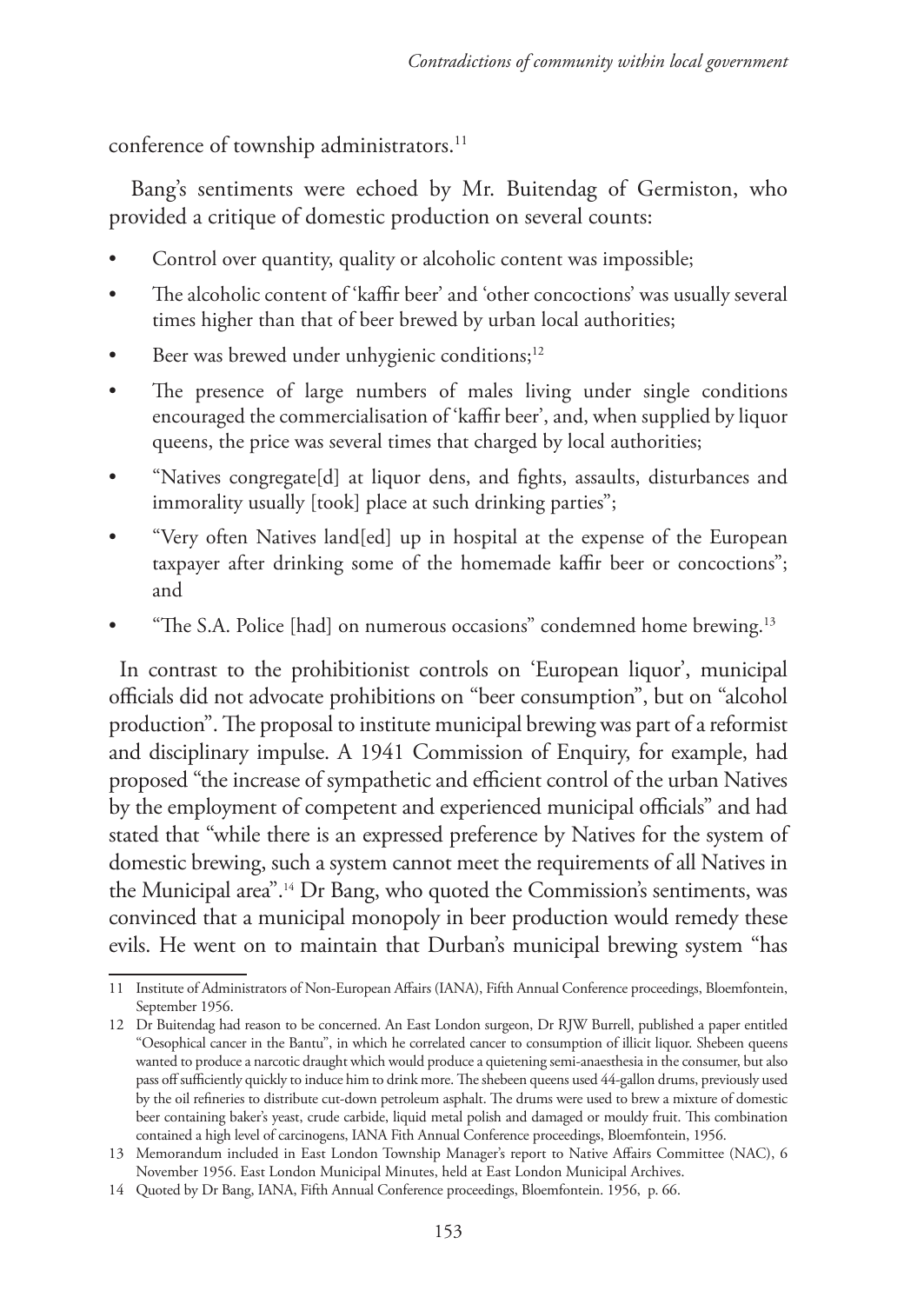conference of township administrators.<sup>11</sup>

 Bang's sentiments were echoed by Mr. Buitendag of Germiston, who provided a critique of domestic production on several counts:

- Control over quantity, quality or alcoholic content was impossible;
- The alcoholic content of 'kaffir beer' and 'other concoctions' was usually several times higher than that of beer brewed by urban local authorities;
- Beer was brewed under unhygienic conditions;<sup>12</sup>
- The presence of large numbers of males living under single conditions encouraged the commercialisation of 'kaffir beer', and, when supplied by liquor queens, the price was several times that charged by local authorities;
- "Natives congregate[d] at liquor dens, and fights, assaults, disturbances and immorality usually [took] place at such drinking parties";
- "Very often Natives land[ed] up in hospital at the expense of the European taxpayer after drinking some of the homemade kaffir beer or concoctions"; and
- "The S.A. Police [had] on numerous occasions" condemned home brewing.<sup>13</sup>

In contrast to the prohibitionist controls on 'European liquor', municipal officials did not advocate prohibitions on "beer consumption", but on "alcohol production". The proposal to institute municipal brewing was part of a reformist and disciplinary impulse. A 1941 Commission of Enquiry, for example, had proposed "the increase of sympathetic and efficient control of the urban Natives by the employment of competent and experienced municipal officials" and had stated that "while there is an expressed preference by Natives for the system of domestic brewing, such a system cannot meet the requirements of all Natives in the Municipal area".14 Dr Bang, who quoted the Commission's sentiments, was convinced that a municipal monopoly in beer production would remedy these evils. He went on to maintain that Durban's municipal brewing system "has

<sup>11</sup> Institute of Administrators of Non-European Affairs (IANA), Fifth Annual Conference proceedings, Bloemfontein, September 1956.

<sup>12</sup> Dr Buitendag had reason to be concerned. An East London surgeon, Dr RJW Burrell, published a paper entitled "Oesophical cancer in the Bantu", in which he correlated cancer to consumption of illicit liquor. Shebeen queens wanted to produce a narcotic draught which would produce a quietening semi-anaesthesia in the consumer, but also pass off sufficiently quickly to induce him to drink more. The shebeen queens used 44-gallon drums, previously used by the oil refineries to distribute cut-down petroleum asphalt. The drums were used to brew a mixture of domestic beer containing baker's yeast, crude carbide, liquid metal polish and damaged or mouldy fruit. This combination contained a high level of carcinogens, IANA Fith Annual Conference proceedings, Bloemfontein, 1956.

<sup>13</sup> Memorandum included in East London Township Manager's report to Native Affairs Committee (NAC), 6 November 1956. East London Municipal Minutes, held at East London Municipal Archives.

<sup>14</sup> Quoted by Dr Bang, IANA, Fifth Annual Conference proceedings, Bloemfontein. 1956, p. 66.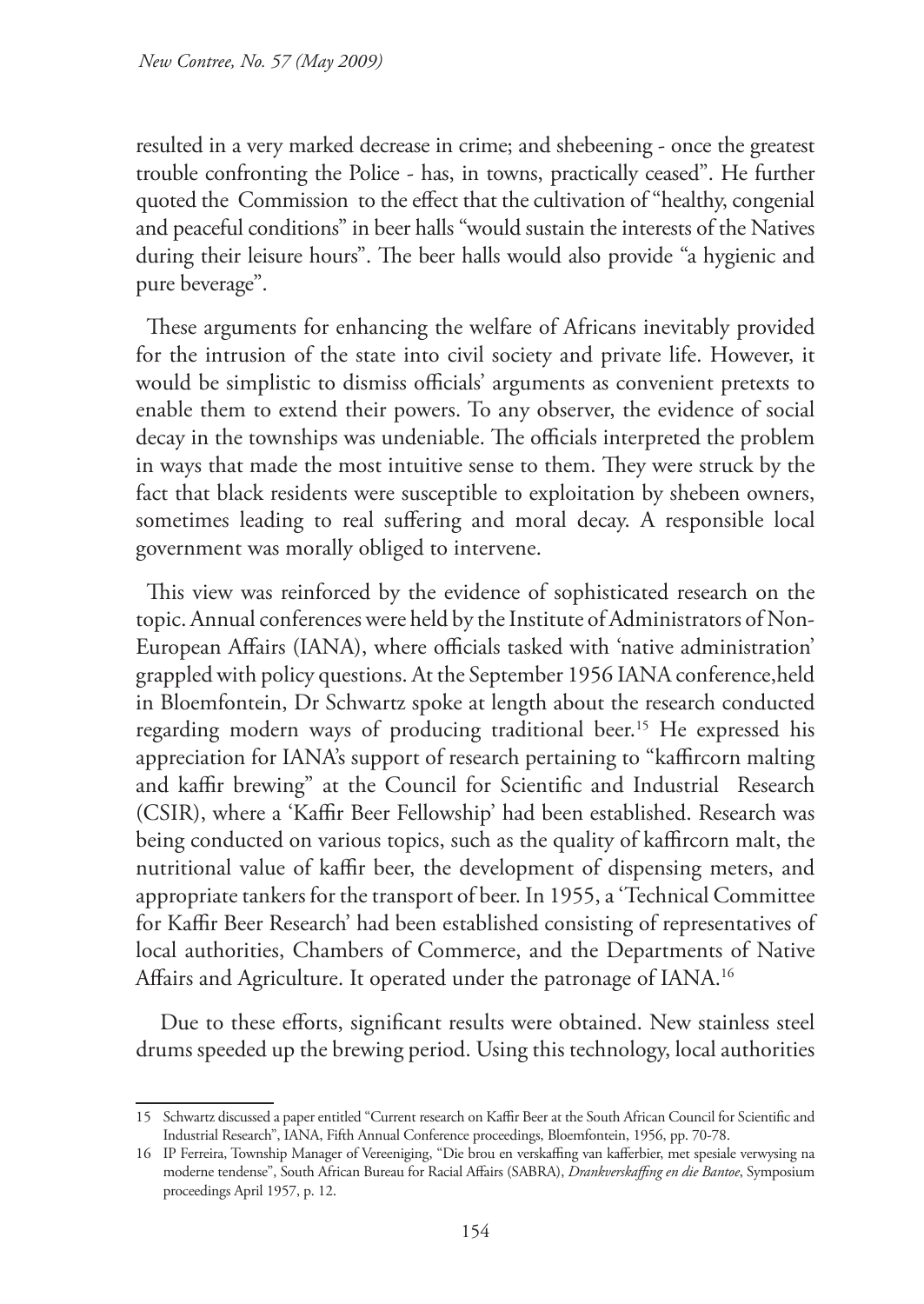resulted in a very marked decrease in crime; and shebeening - once the greatest trouble confronting the Police - has, in towns, practically ceased". He further quoted the Commission to the effect that the cultivation of "healthy, congenial and peaceful conditions" in beer halls "would sustain the interests of the Natives during their leisure hours". The beer halls would also provide "a hygienic and pure beverage".

These arguments for enhancing the welfare of Africans inevitably provided for the intrusion of the state into civil society and private life. However, it would be simplistic to dismiss officials' arguments as convenient pretexts to enable them to extend their powers. To any observer, the evidence of social decay in the townships was undeniable. The officials interpreted the problem in ways that made the most intuitive sense to them. They were struck by the fact that black residents were susceptible to exploitation by shebeen owners, sometimes leading to real suffering and moral decay. A responsible local government was morally obliged to intervene.

This view was reinforced by the evidence of sophisticated research on the topic. Annual conferences were held by the Institute of Administrators of Non-European Affairs (IANA), where officials tasked with 'native administration' grappled with policy questions. At the September 1956 IANA conference,held in Bloemfontein, Dr Schwartz spoke at length about the research conducted regarding modern ways of producing traditional beer.<sup>15</sup> He expressed his appreciation for IANA's support of research pertaining to "kaffircorn malting and kaffir brewing" at the Council for Scientific and Industrial Research (CSIR), where a 'Kaffir Beer Fellowship' had been established. Research was being conducted on various topics, such as the quality of kaffircorn malt, the nutritional value of kaffir beer, the development of dispensing meters, and appropriate tankers for the transport of beer. In 1955, a 'Technical Committee for Kaffir Beer Research' had been established consisting of representatives of local authorities, Chambers of Commerce, and the Departments of Native Affairs and Agriculture. It operated under the patronage of IANA.<sup>16</sup>

 Due to these efforts, significant results were obtained. New stainless steel drums speeded up the brewing period. Using this technology, local authorities

<sup>15</sup> Schwartz discussed a paper entitled "Current research on Kaffir Beer at the South African Council for Scientific and Industrial Research", IANA, Fifth Annual Conference proceedings, Bloemfontein, 1956, pp. 70-78.

<sup>16</sup> IP Ferreira, Township Manager of Vereeniging, "Die brou en verskaffing van kafferbier, met spesiale verwysing na moderne tendense", South African Bureau for Racial Affairs (SABRA), *Drankverskaffing en die Bantoe*, Symposium proceedings April 1957, p. 12.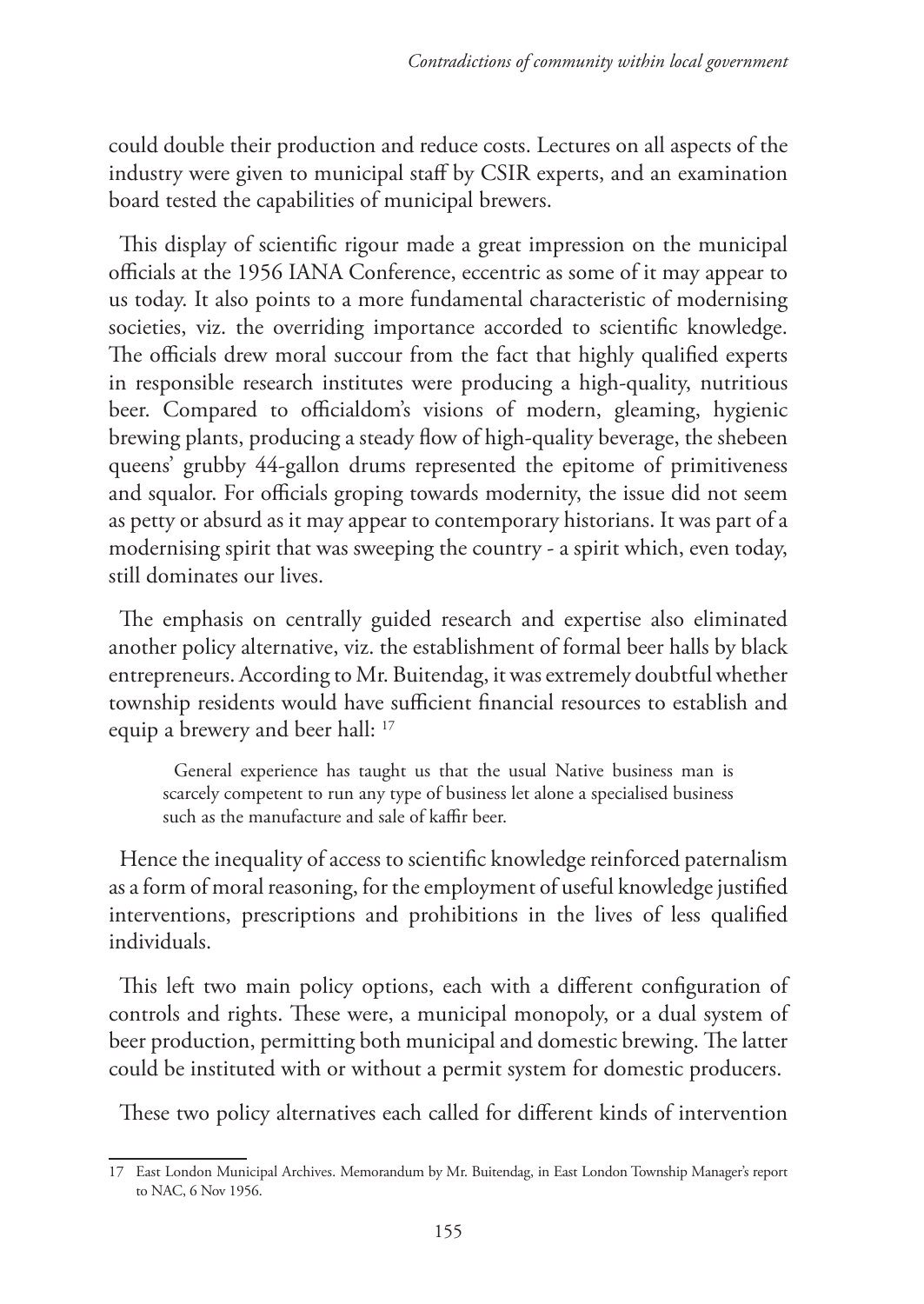could double their production and reduce costs. Lectures on all aspects of the industry were given to municipal staff by CSIR experts, and an examination board tested the capabilities of municipal brewers.

This display of scientific rigour made a great impression on the municipal officials at the 1956 IANA Conference, eccentric as some of it may appear to us today. It also points to a more fundamental characteristic of modernising societies, viz. the overriding importance accorded to scientific knowledge. The officials drew moral succour from the fact that highly qualified experts in responsible research institutes were producing a high-quality, nutritious beer. Compared to officialdom's visions of modern, gleaming, hygienic brewing plants, producing a steady flow of high-quality beverage, the shebeen queens' grubby 44-gallon drums represented the epitome of primitiveness and squalor. For officials groping towards modernity, the issue did not seem as petty or absurd as it may appear to contemporary historians. It was part of a modernising spirit that was sweeping the country - a spirit which, even today, still dominates our lives.

The emphasis on centrally guided research and expertise also eliminated another policy alternative, viz. the establishment of formal beer halls by black entrepreneurs. According to Mr. Buitendag, it was extremely doubtful whether township residents would have sufficient financial resources to establish and equip a brewery and beer hall: 17

General experience has taught us that the usual Native business man is scarcely competent to run any type of business let alone a specialised business such as the manufacture and sale of kaffir beer.

Hence the inequality of access to scientific knowledge reinforced paternalism as a form of moral reasoning, for the employment of useful knowledge justified interventions, prescriptions and prohibitions in the lives of less qualified individuals.

This left two main policy options, each with a different configuration of controls and rights. These were, a municipal monopoly, or a dual system of beer production, permitting both municipal and domestic brewing. The latter could be instituted with or without a permit system for domestic producers.

These two policy alternatives each called for different kinds of intervention

<sup>17</sup> East London Municipal Archives. Memorandum by Mr. Buitendag, in East London Township Manager's report to NAC, 6 Nov 1956.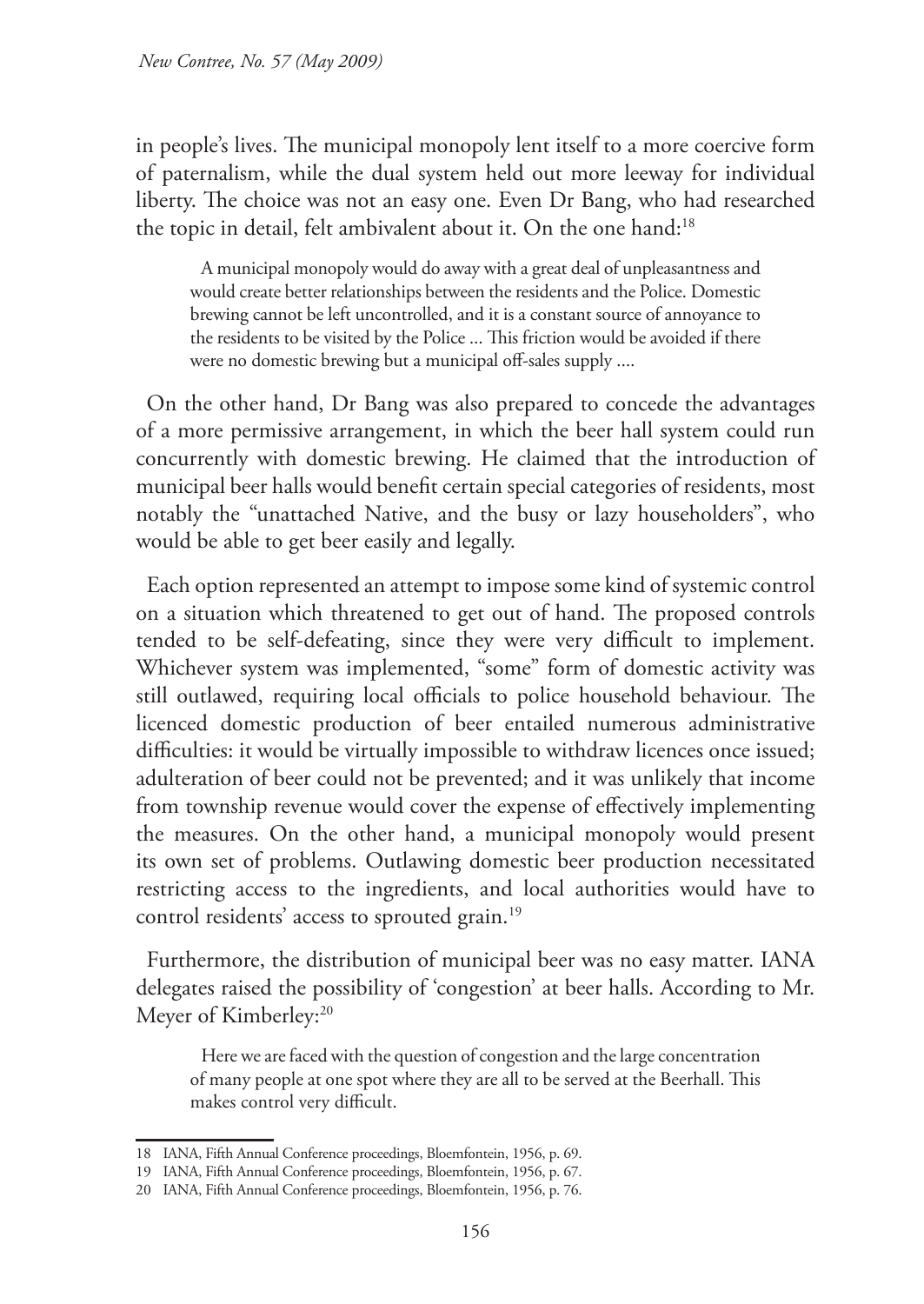in people's lives. The municipal monopoly lent itself to a more coercive form of paternalism, while the dual system held out more leeway for individual liberty. The choice was not an easy one. Even Dr Bang, who had researched the topic in detail, felt ambivalent about it. On the one hand:<sup>18</sup>

A municipal monopoly would do away with a great deal of unpleasantness and would create better relationships between the residents and the Police. Domestic brewing cannot be left uncontrolled, and it is a constant source of annoyance to the residents to be visited by the Police ... This friction would be avoided if there were no domestic brewing but a municipal off-sales supply ....

On the other hand, Dr Bang was also prepared to concede the advantages of a more permissive arrangement, in which the beer hall system could run concurrently with domestic brewing. He claimed that the introduction of municipal beer halls would benefit certain special categories of residents, most notably the "unattached Native, and the busy or lazy householders", who would be able to get beer easily and legally.

Each option represented an attempt to impose some kind of systemic control on a situation which threatened to get out of hand. The proposed controls tended to be self-defeating, since they were very difficult to implement. Whichever system was implemented, "some" form of domestic activity was still outlawed, requiring local officials to police household behaviour. The licenced domestic production of beer entailed numerous administrative difficulties: it would be virtually impossible to withdraw licences once issued; adulteration of beer could not be prevented; and it was unlikely that income from township revenue would cover the expense of effectively implementing the measures. On the other hand, a municipal monopoly would present its own set of problems. Outlawing domestic beer production necessitated restricting access to the ingredients, and local authorities would have to control residents' access to sprouted grain.<sup>19</sup>

Furthermore, the distribution of municipal beer was no easy matter. IANA delegates raised the possibility of 'congestion' at beer halls. According to Mr. Meyer of Kimberley:<sup>20</sup>

Here we are faced with the question of congestion and the large concentration of many people at one spot where they are all to be served at the Beerhall. This makes control very difficult.

<sup>18</sup> IANA, Fifth Annual Conference proceedings, Bloemfontein, 1956, p. 69.

<sup>19</sup> IANA, Fifth Annual Conference proceedings, Bloemfontein, 1956, p. 67.

<sup>20</sup> IANA, Fifth Annual Conference proceedings, Bloemfontein, 1956, p. 76.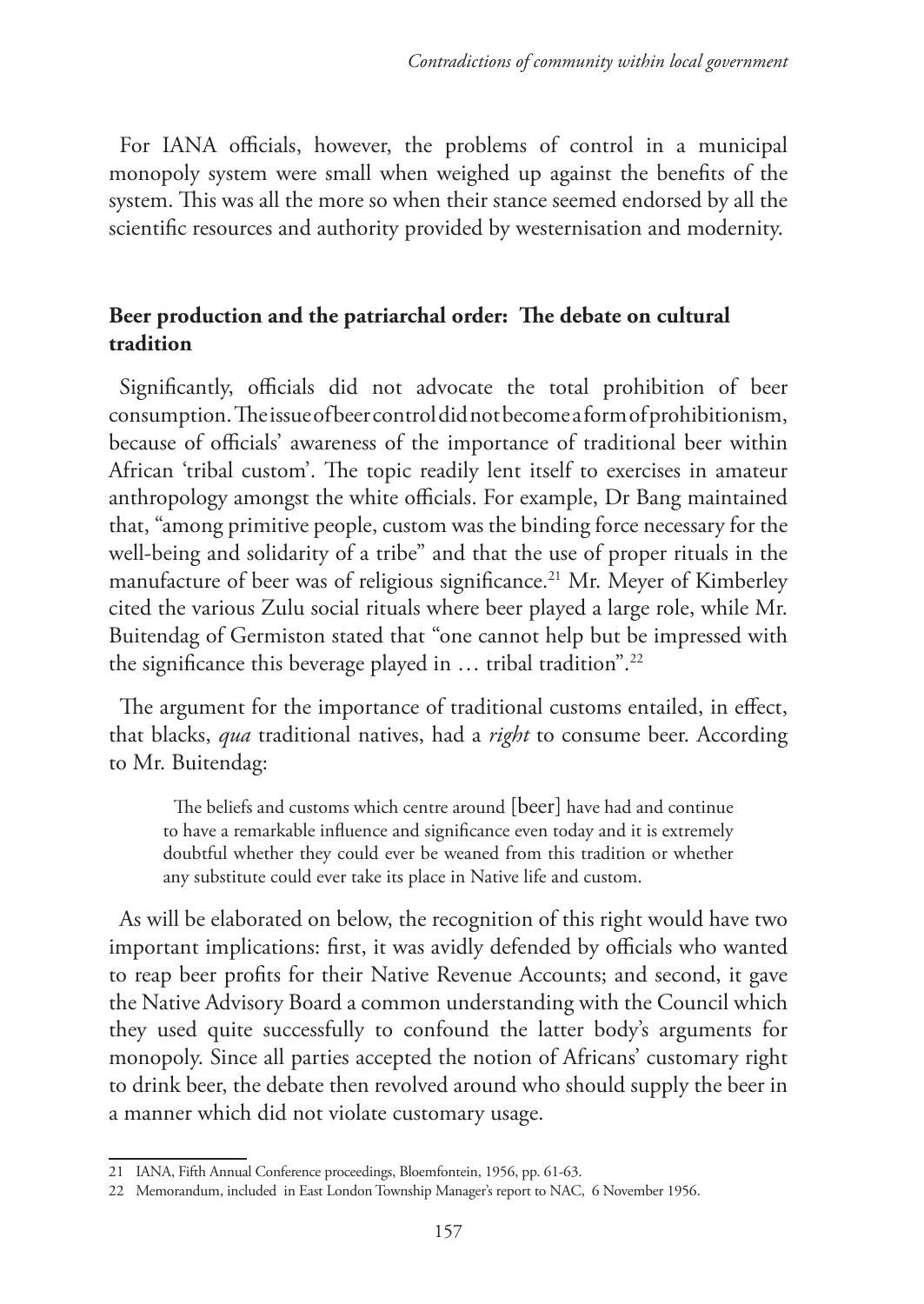For IANA officials, however, the problems of control in a municipal monopoly system were small when weighed up against the benefits of the system. This was all the more so when their stance seemed endorsed by all the scientific resources and authority provided by westernisation and modernity.

## **Beer production and the patriarchal order: The debate on cultural tradition**

Significantly, officials did not advocate the total prohibition of beer consumption. The issue of beer control did not become a form of prohibitionism, because of officials' awareness of the importance of traditional beer within African 'tribal custom'. The topic readily lent itself to exercises in amateur anthropology amongst the white officials. For example, Dr Bang maintained that, "among primitive people, custom was the binding force necessary for the well-being and solidarity of a tribe" and that the use of proper rituals in the manufacture of beer was of religious significance.<sup>21</sup> Mr. Meyer of Kimberley cited the various Zulu social rituals where beer played a large role, while Mr. Buitendag of Germiston stated that "one cannot help but be impressed with the significance this beverage played in  $\ldots$  tribal tradition".<sup>22</sup>

The argument for the importance of traditional customs entailed, in effect, that blacks, *qua* traditional natives, had a *right* to consume beer. According to Mr. Buitendag:

The beliefs and customs which centre around [beer] have had and continue to have a remarkable influence and significance even today and it is extremely doubtful whether they could ever be weaned from this tradition or whether any substitute could ever take its place in Native life and custom.

As will be elaborated on below, the recognition of this right would have two important implications: first, it was avidly defended by officials who wanted to reap beer profits for their Native Revenue Accounts; and second, it gave the Native Advisory Board a common understanding with the Council which they used quite successfully to confound the latter body's arguments for monopoly. Since all parties accepted the notion of Africans' customary right to drink beer, the debate then revolved around who should supply the beer in a manner which did not violate customary usage.

<sup>21</sup> IANA, Fifth Annual Conference proceedings, Bloemfontein, 1956, pp. 61-63.

<sup>22</sup> Memorandum, included in East London Township Manager's report to NAC, 6 November 1956.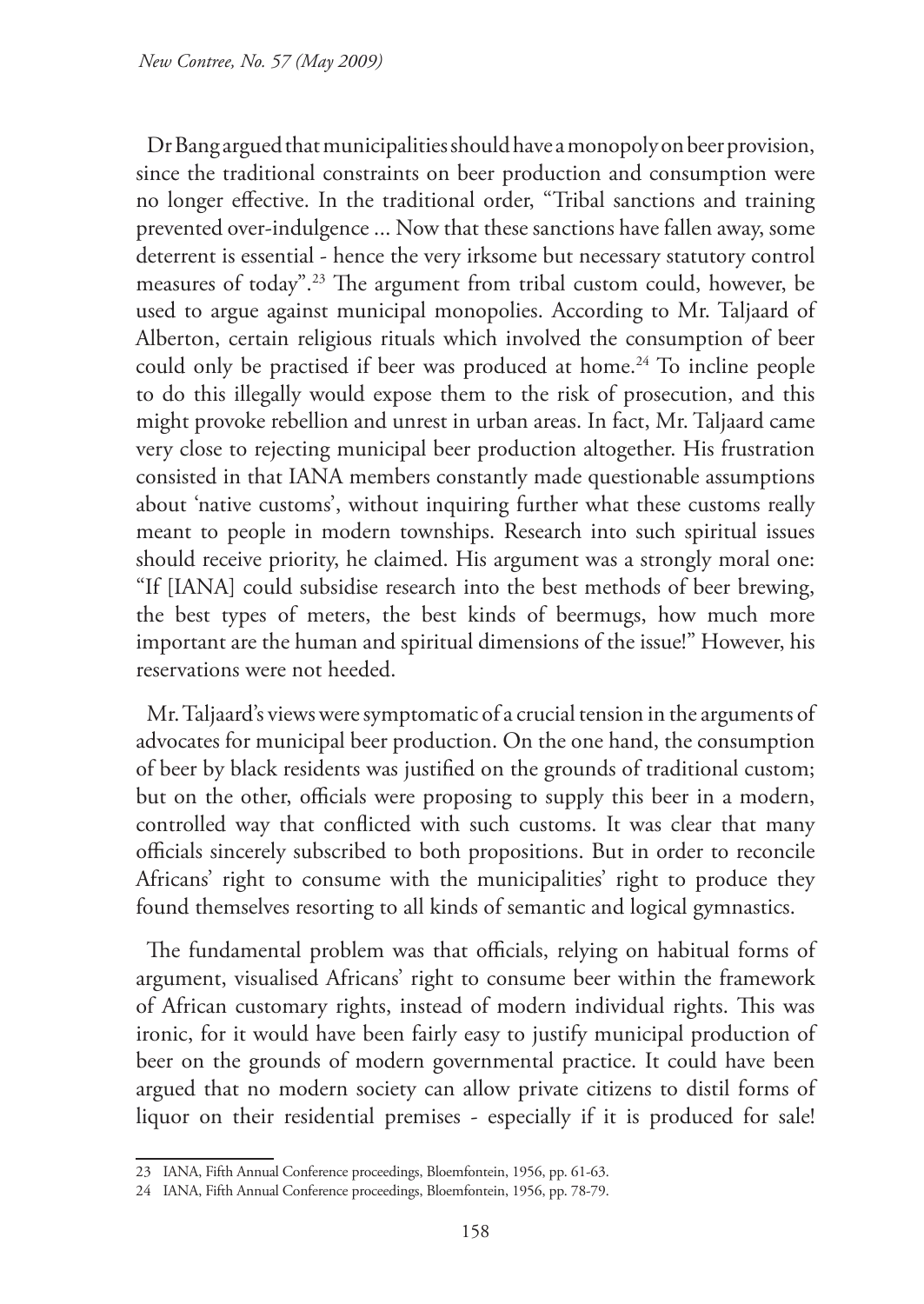Dr Bang argued that municipalities should have a monopoly on beer provision, since the traditional constraints on beer production and consumption were no longer effective. In the traditional order, "Tribal sanctions and training prevented over-indulgence ... Now that these sanctions have fallen away, some deterrent is essential - hence the very irksome but necessary statutory control measures of today".23 The argument from tribal custom could, however, be used to argue against municipal monopolies. According to Mr. Taljaard of Alberton, certain religious rituals which involved the consumption of beer could only be practised if beer was produced at home.<sup>24</sup> To incline people to do this illegally would expose them to the risk of prosecution, and this might provoke rebellion and unrest in urban areas. In fact, Mr. Taljaard came very close to rejecting municipal beer production altogether. His frustration consisted in that IANA members constantly made questionable assumptions about 'native customs', without inquiring further what these customs really meant to people in modern townships. Research into such spiritual issues should receive priority, he claimed. His argument was a strongly moral one: "If [IANA] could subsidise research into the best methods of beer brewing, the best types of meters, the best kinds of beermugs, how much more important are the human and spiritual dimensions of the issue!" However, his reservations were not heeded.

Mr. Taljaard's views were symptomatic of a crucial tension in the arguments of advocates for municipal beer production. On the one hand, the consumption of beer by black residents was justified on the grounds of traditional custom; but on the other, officials were proposing to supply this beer in a modern, controlled way that conflicted with such customs. It was clear that many officials sincerely subscribed to both propositions. But in order to reconcile Africans' right to consume with the municipalities' right to produce they found themselves resorting to all kinds of semantic and logical gymnastics.

The fundamental problem was that officials, relying on habitual forms of argument, visualised Africans' right to consume beer within the framework of African customary rights, instead of modern individual rights. This was ironic, for it would have been fairly easy to justify municipal production of beer on the grounds of modern governmental practice. It could have been argued that no modern society can allow private citizens to distil forms of liquor on their residential premises - especially if it is produced for sale!

<sup>23</sup> IANA, Fifth Annual Conference proceedings, Bloemfontein, 1956, pp. 61-63.

<sup>24</sup> IANA, Fifth Annual Conference proceedings, Bloemfontein, 1956, pp. 78-79.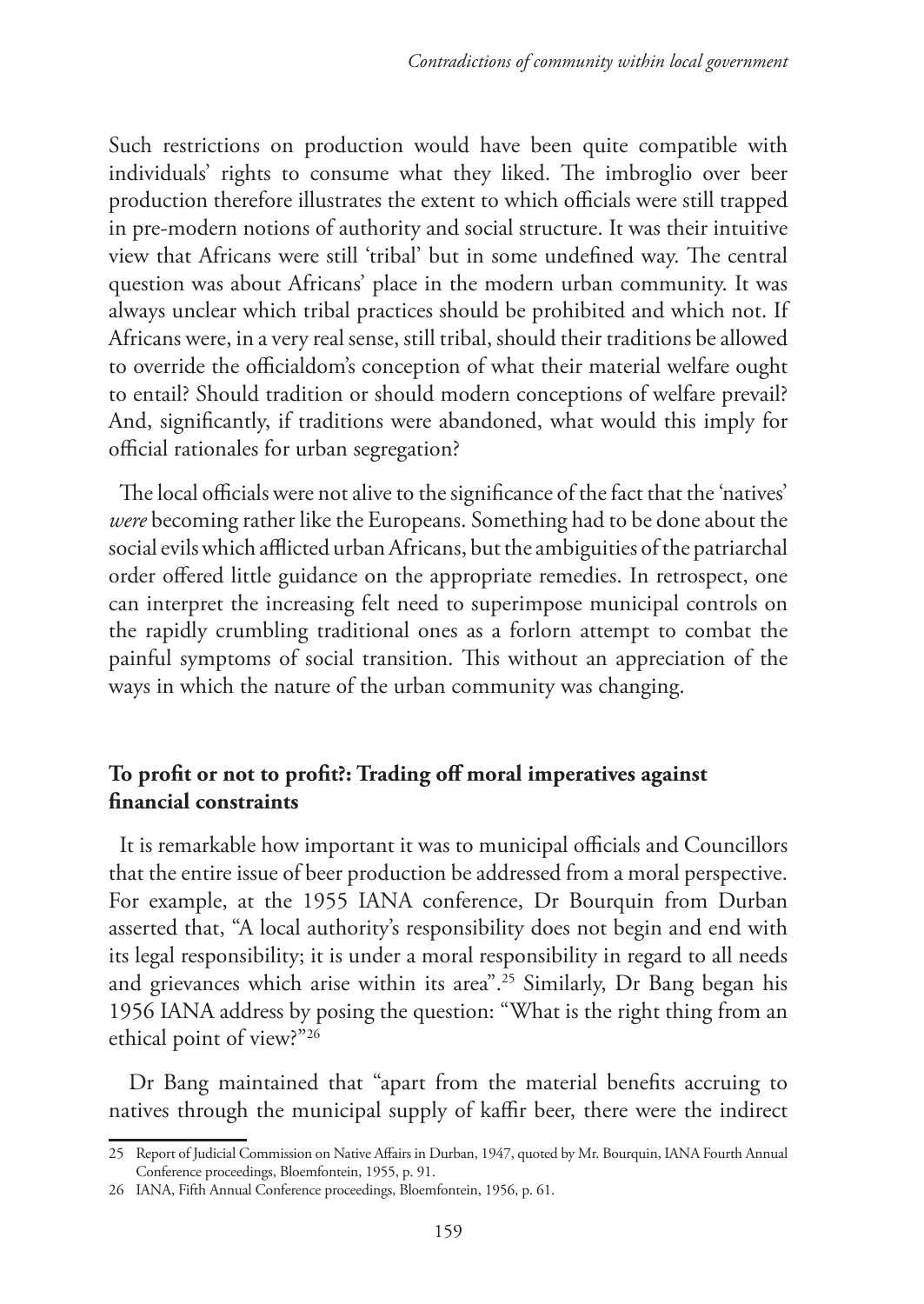Such restrictions on production would have been quite compatible with individuals' rights to consume what they liked. The imbroglio over beer production therefore illustrates the extent to which officials were still trapped in pre-modern notions of authority and social structure. It was their intuitive view that Africans were still 'tribal' but in some undefined way. The central question was about Africans' place in the modern urban community. It was always unclear which tribal practices should be prohibited and which not. If Africans were, in a very real sense, still tribal, should their traditions be allowed to override the officialdom's conception of what their material welfare ought to entail? Should tradition or should modern conceptions of welfare prevail? And, significantly, if traditions were abandoned, what would this imply for official rationales for urban segregation?

The local officials were not alive to the significance of the fact that the 'natives' *were* becoming rather like the Europeans. Something had to be done about the social evils which afflicted urban Africans, but the ambiguities of the patriarchal order offered little guidance on the appropriate remedies. In retrospect, one can interpret the increasing felt need to superimpose municipal controls on the rapidly crumbling traditional ones as a forlorn attempt to combat the painful symptoms of social transition. This without an appreciation of the ways in which the nature of the urban community was changing.

## **To profit or not to profit?: Trading off moral imperatives against financial constraints**

It is remarkable how important it was to municipal officials and Councillors that the entire issue of beer production be addressed from a moral perspective. For example, at the 1955 IANA conference, Dr Bourquin from Durban asserted that, "A local authority's responsibility does not begin and end with its legal responsibility; it is under a moral responsibility in regard to all needs and grievances which arise within its area".<sup>25</sup> Similarly, Dr Bang began his 1956 IANA address by posing the question: "What is the right thing from an ethical point of view?"26

Dr Bang maintained that "apart from the material benefits accruing to natives through the municipal supply of kaffir beer, there were the indirect

<sup>25</sup> Report of Judicial Commission on Native Affairs in Durban, 1947, quoted by Mr. Bourquin, IANA Fourth Annual Conference proceedings, Bloemfontein, 1955, p. 91.

<sup>26</sup> IANA, Fifth Annual Conference proceedings, Bloemfontein, 1956, p. 61.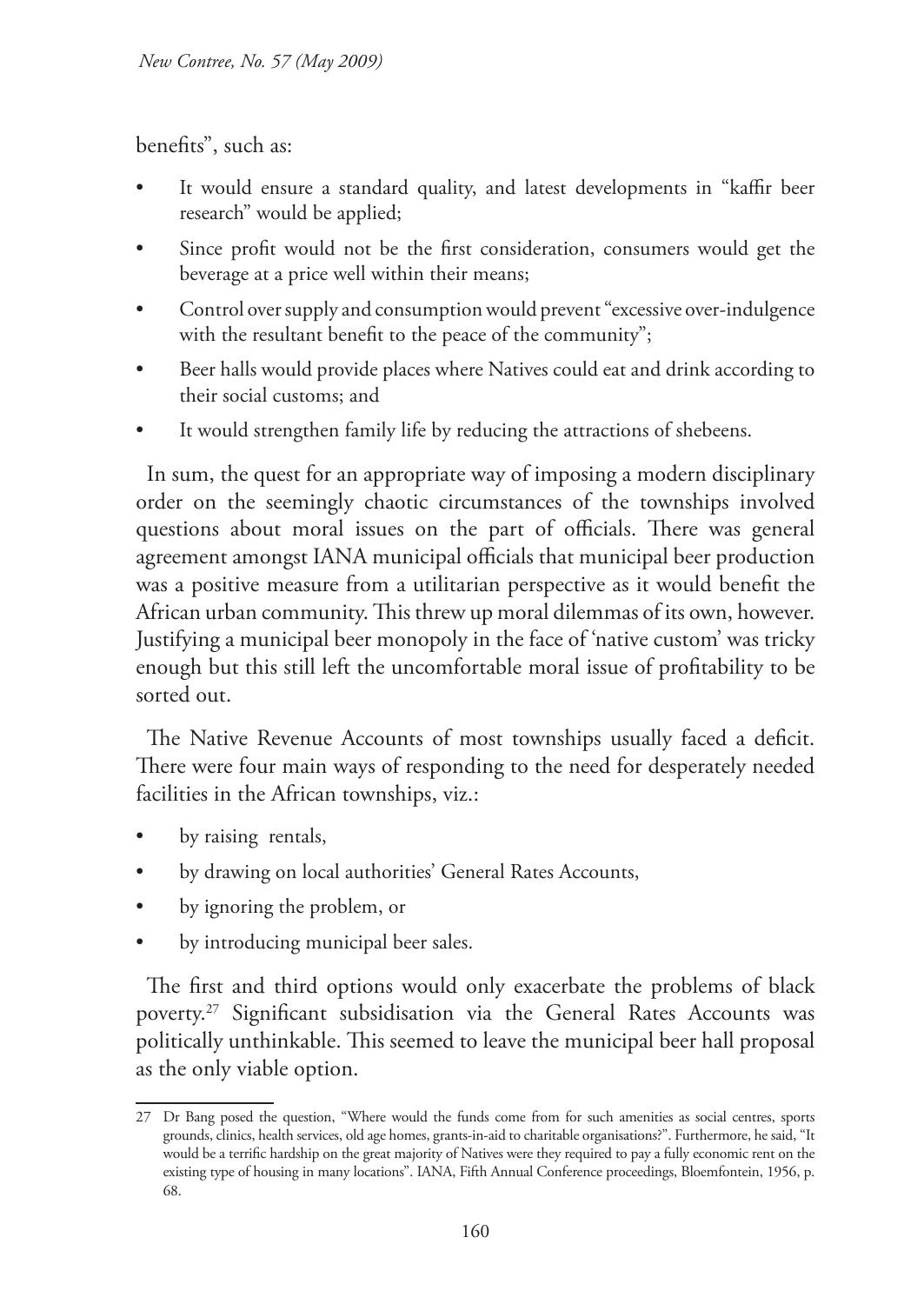benefits", such as:

- It would ensure a standard quality, and latest developments in "kaffir beer research" would be applied;
- Since profit would not be the first consideration, consumers would get the beverage at a price well within their means;
- Control over supply and consumption would prevent "excessive over-indulgence with the resultant benefit to the peace of the community";
- Beer halls would provide places where Natives could eat and drink according to their social customs; and
- It would strengthen family life by reducing the attractions of shebeens.

In sum, the quest for an appropriate way of imposing a modern disciplinary order on the seemingly chaotic circumstances of the townships involved questions about moral issues on the part of officials. There was general agreement amongst IANA municipal officials that municipal beer production was a positive measure from a utilitarian perspective as it would benefit the African urban community. This threw up moral dilemmas of its own, however. Justifying a municipal beer monopoly in the face of 'native custom' was tricky enough but this still left the uncomfortable moral issue of profitability to be sorted out.

The Native Revenue Accounts of most townships usually faced a deficit. There were four main ways of responding to the need for desperately needed facilities in the African townships, viz.:

- by raising rentals,
- by drawing on local authorities' General Rates Accounts,
- by ignoring the problem, or
- by introducing municipal beer sales.

The first and third options would only exacerbate the problems of black poverty.27 Significant subsidisation via the General Rates Accounts was politically unthinkable. This seemed to leave the municipal beer hall proposal as the only viable option.

<sup>27</sup> Dr Bang posed the question, "Where would the funds come from for such amenities as social centres, sports grounds, clinics, health services, old age homes, grants-in-aid to charitable organisations?". Furthermore, he said, "It would be a terrific hardship on the great majority of Natives were they required to pay a fully economic rent on the existing type of housing in many locations". IANA, Fifth Annual Conference proceedings, Bloemfontein, 1956, p. 68.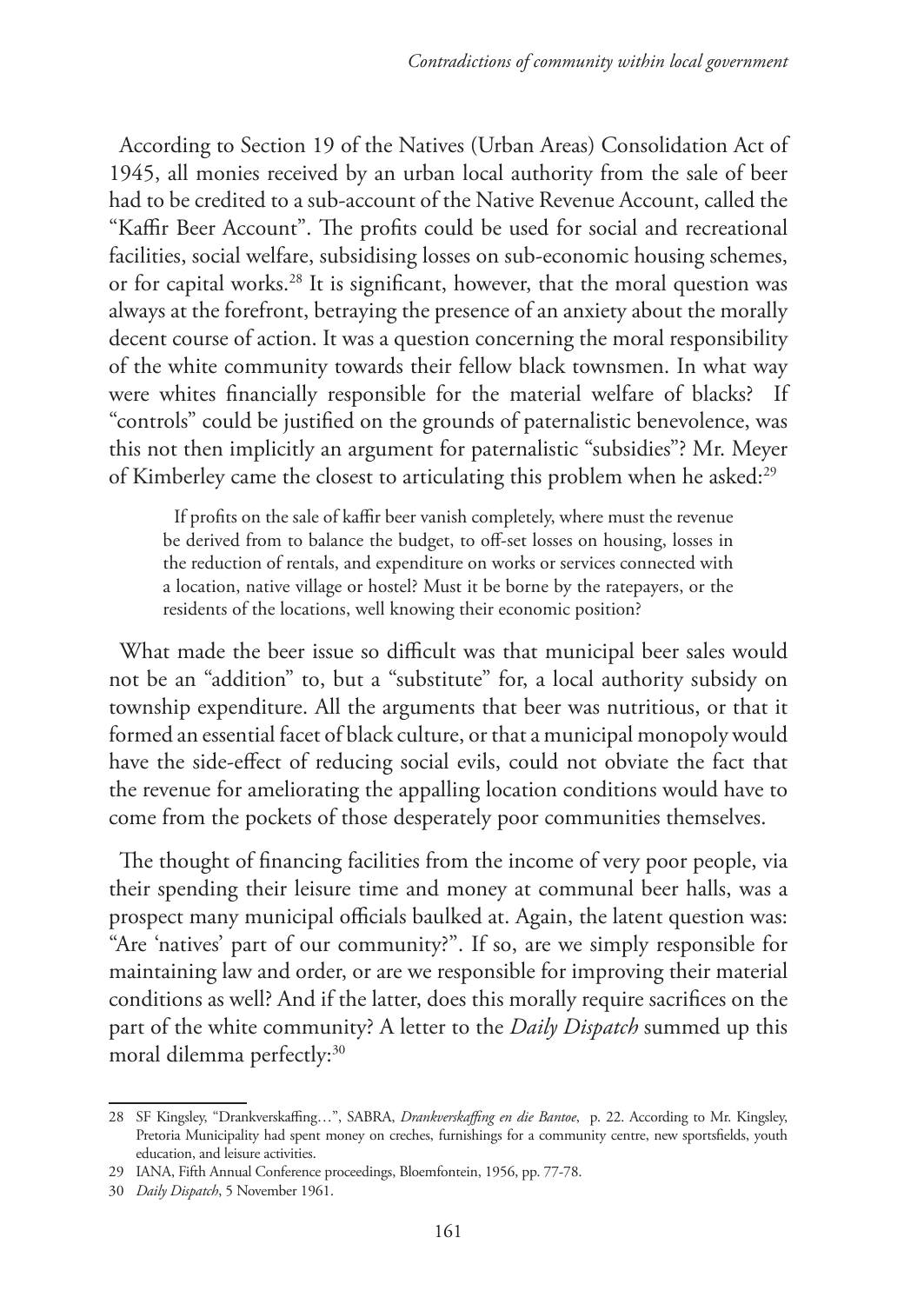According to Section 19 of the Natives (Urban Areas) Consolidation Act of 1945, all monies received by an urban local authority from the sale of beer had to be credited to a sub-account of the Native Revenue Account, called the "Kaffir Beer Account". The profits could be used for social and recreational facilities, social welfare, subsidising losses on sub-economic housing schemes, or for capital works.28 It is significant, however, that the moral question was always at the forefront, betraying the presence of an anxiety about the morally decent course of action. It was a question concerning the moral responsibility of the white community towards their fellow black townsmen. In what way were whites financially responsible for the material welfare of blacks? If "controls" could be justified on the grounds of paternalistic benevolence, was this not then implicitly an argument for paternalistic "subsidies"? Mr. Meyer of Kimberley came the closest to articulating this problem when he asked:29

If profits on the sale of kaffir beer vanish completely, where must the revenue be derived from to balance the budget, to off-set losses on housing, losses in the reduction of rentals, and expenditure on works or services connected with a location, native village or hostel? Must it be borne by the ratepayers, or the residents of the locations, well knowing their economic position?

What made the beer issue so difficult was that municipal beer sales would not be an "addition" to, but a "substitute" for, a local authority subsidy on township expenditure. All the arguments that beer was nutritious, or that it formed an essential facet of black culture, or that a municipal monopoly would have the side-effect of reducing social evils, could not obviate the fact that the revenue for ameliorating the appalling location conditions would have to come from the pockets of those desperately poor communities themselves.

The thought of financing facilities from the income of very poor people, via their spending their leisure time and money at communal beer halls, was a prospect many municipal officials baulked at. Again, the latent question was: "Are 'natives' part of our community?". If so, are we simply responsible for maintaining law and order, or are we responsible for improving their material conditions as well? And if the latter, does this morally require sacrifices on the part of the white community? A letter to the *Daily Dispatch* summed up this moral dilemma perfectly:<sup>30</sup>

<sup>28</sup> SF Kingsley, "Drankverskaffing…", SABRA, *Drankverskaffing en die Bantoe*, p. 22. According to Mr. Kingsley, Pretoria Municipality had spent money on creches, furnishings for a community centre, new sportsfields, youth education, and leisure activities.

<sup>29</sup> IANA, Fifth Annual Conference proceedings, Bloemfontein, 1956, pp. 77-78.

<sup>30</sup> *Daily Dispatch*, 5 November 1961.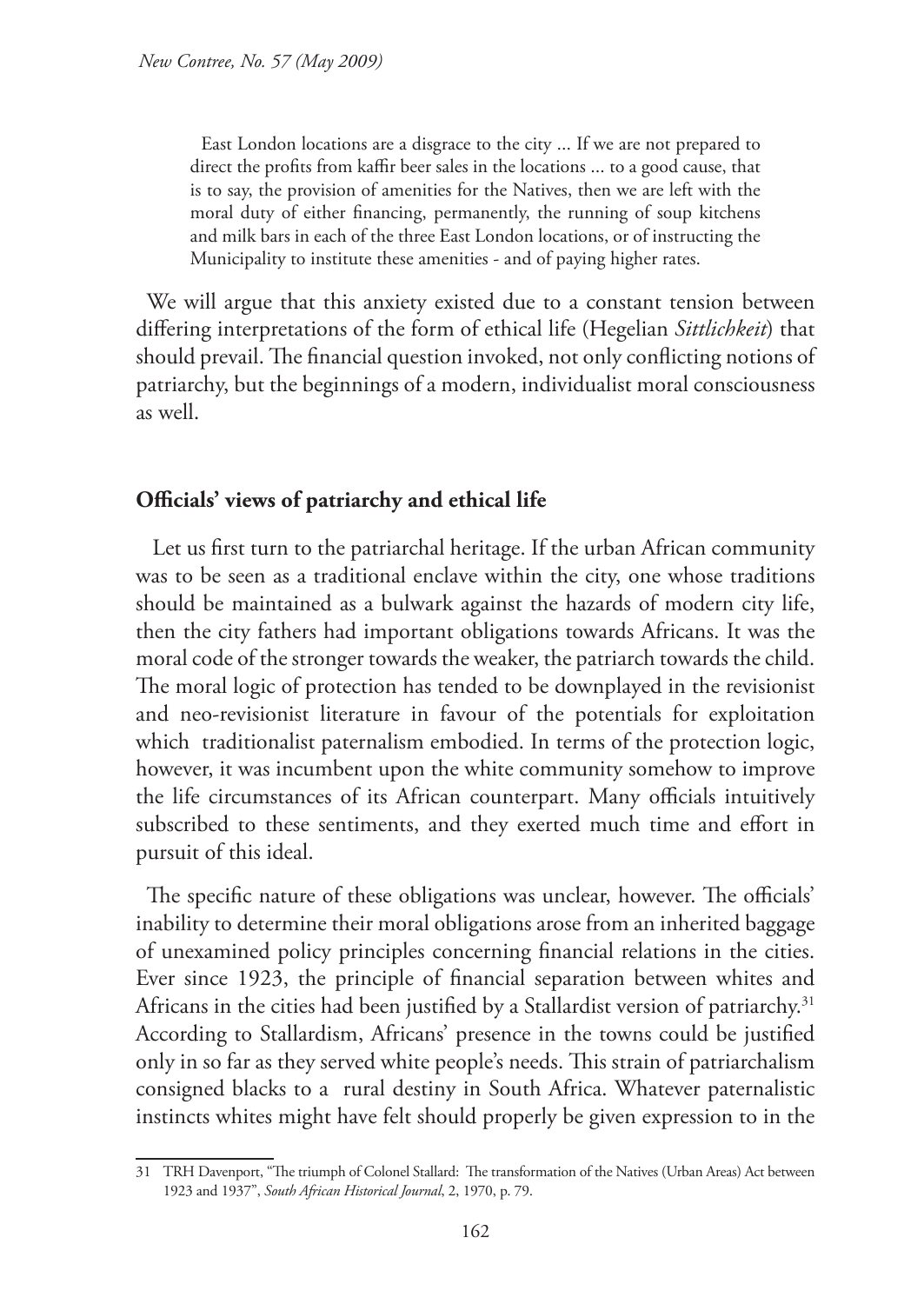East London locations are a disgrace to the city ... If we are not prepared to direct the profits from kaffir beer sales in the locations ... to a good cause, that is to say, the provision of amenities for the Natives, then we are left with the moral duty of either financing, permanently, the running of soup kitchens and milk bars in each of the three East London locations, or of instructing the Municipality to institute these amenities - and of paying higher rates.

We will argue that this anxiety existed due to a constant tension between differing interpretations of the form of ethical life (Hegelian *Sittlichkeit*) that should prevail. The financial question invoked, not only conflicting notions of patriarchy, but the beginnings of a modern, individualist moral consciousness as well.

## **Officials' views of patriarchy and ethical life**

Let us first turn to the patriarchal heritage. If the urban African community was to be seen as a traditional enclave within the city, one whose traditions should be maintained as a bulwark against the hazards of modern city life, then the city fathers had important obligations towards Africans. It was the moral code of the stronger towards the weaker, the patriarch towards the child. The moral logic of protection has tended to be downplayed in the revisionist and neo-revisionist literature in favour of the potentials for exploitation which traditionalist paternalism embodied. In terms of the protection logic, however, it was incumbent upon the white community somehow to improve the life circumstances of its African counterpart. Many officials intuitively subscribed to these sentiments, and they exerted much time and effort in pursuit of this ideal.

The specific nature of these obligations was unclear, however. The officials' inability to determine their moral obligations arose from an inherited baggage of unexamined policy principles concerning financial relations in the cities. Ever since 1923, the principle of financial separation between whites and Africans in the cities had been justified by a Stallardist version of patriarchy.<sup>31</sup> According to Stallardism, Africans' presence in the towns could be justified only in so far as they served white people's needs. This strain of patriarchalism consigned blacks to a rural destiny in South Africa. Whatever paternalistic instincts whites might have felt should properly be given expression to in the

<sup>31</sup> TRH Davenport, "The triumph of Colonel Stallard: The transformation of the Natives (Urban Areas) Act between 1923 and 1937", *South African Historical Journal*, 2, 1970, p. 79.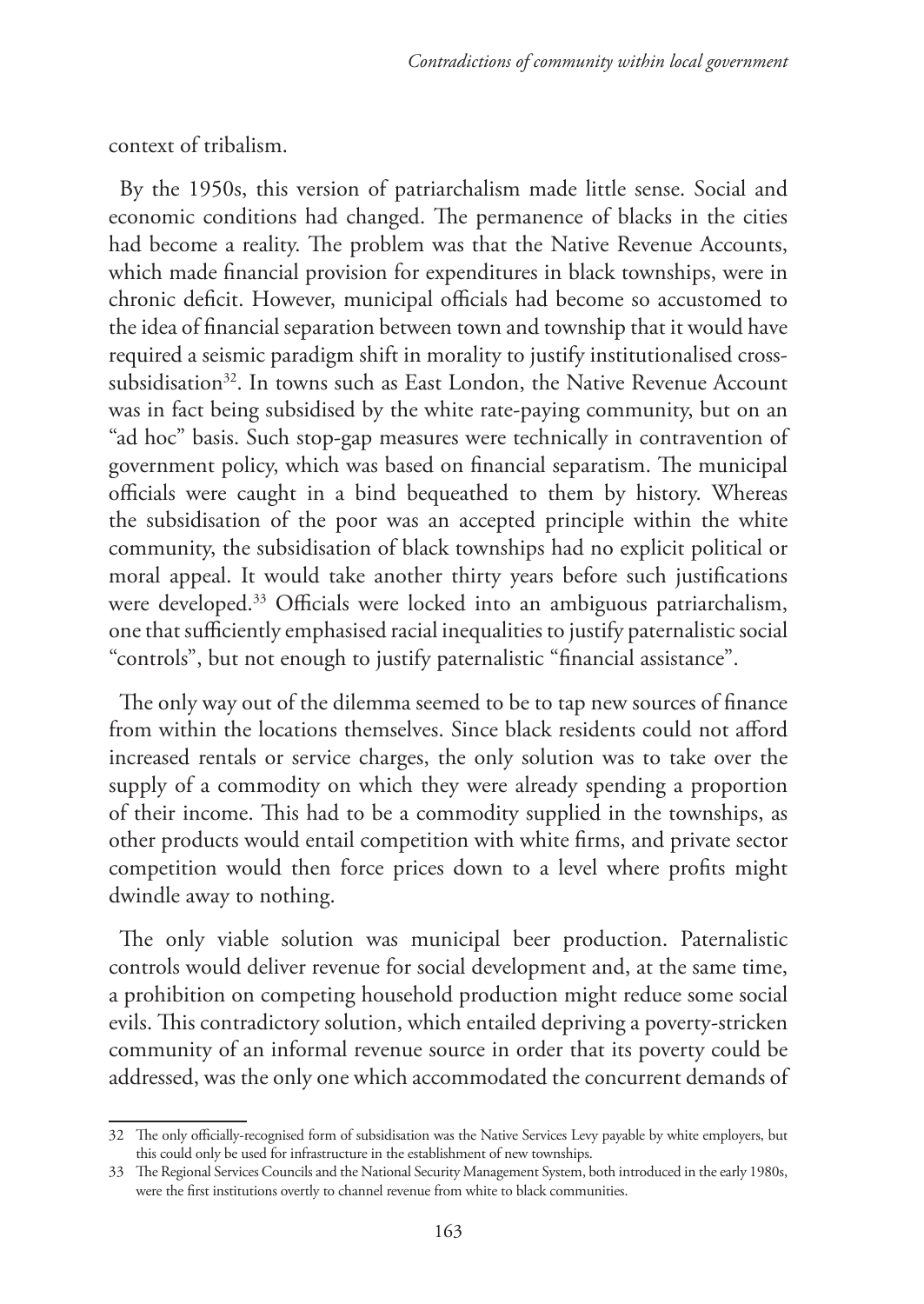context of tribalism.

By the 1950s, this version of patriarchalism made little sense. Social and economic conditions had changed. The permanence of blacks in the cities had become a reality. The problem was that the Native Revenue Accounts, which made financial provision for expenditures in black townships, were in chronic deficit. However, municipal officials had become so accustomed to the idea of financial separation between town and township that it would have required a seismic paradigm shift in morality to justify institutionalised crosssubsidisation<sup>32</sup>. In towns such as East London, the Native Revenue Account was in fact being subsidised by the white rate-paying community, but on an "ad hoc" basis. Such stop-gap measures were technically in contravention of government policy, which was based on financial separatism. The municipal officials were caught in a bind bequeathed to them by history. Whereas the subsidisation of the poor was an accepted principle within the white community, the subsidisation of black townships had no explicit political or moral appeal. It would take another thirty years before such justifications were developed.<sup>33</sup> Officials were locked into an ambiguous patriarchalism, one that sufficiently emphasised racial inequalities to justify paternalistic social "controls", but not enough to justify paternalistic "financial assistance".

The only way out of the dilemma seemed to be to tap new sources of finance from within the locations themselves. Since black residents could not afford increased rentals or service charges, the only solution was to take over the supply of a commodity on which they were already spending a proportion of their income. This had to be a commodity supplied in the townships, as other products would entail competition with white firms, and private sector competition would then force prices down to a level where profits might dwindle away to nothing.

The only viable solution was municipal beer production. Paternalistic controls would deliver revenue for social development and, at the same time, a prohibition on competing household production might reduce some social evils. This contradictory solution, which entailed depriving a poverty-stricken community of an informal revenue source in order that its poverty could be addressed, was the only one which accommodated the concurrent demands of

<sup>32</sup> The only officially-recognised form of subsidisation was the Native Services Levy payable by white employers, but this could only be used for infrastructure in the establishment of new townships.

<sup>33</sup> The Regional Services Councils and the National Security Management System, both introduced in the early 1980s, were the first institutions overtly to channel revenue from white to black communities.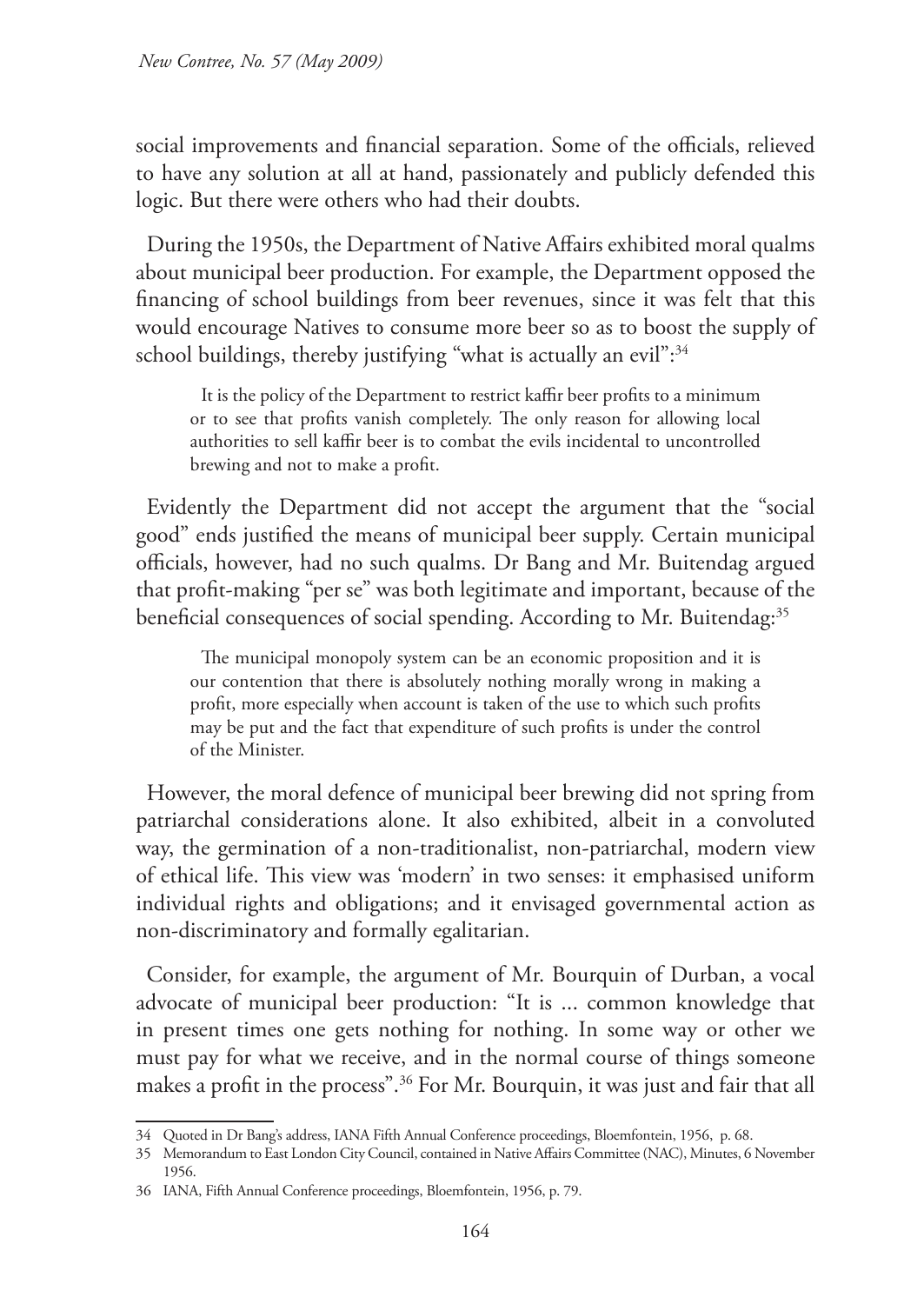social improvements and financial separation. Some of the officials, relieved to have any solution at all at hand, passionately and publicly defended this logic. But there were others who had their doubts.

During the 1950s, the Department of Native Affairs exhibited moral qualms about municipal beer production. For example, the Department opposed the financing of school buildings from beer revenues, since it was felt that this would encourage Natives to consume more beer so as to boost the supply of school buildings, thereby justifying "what is actually an evil":<sup>34</sup>

It is the policy of the Department to restrict kaffir beer profits to a minimum or to see that profits vanish completely. The only reason for allowing local authorities to sell kaffir beer is to combat the evils incidental to uncontrolled brewing and not to make a profit.

Evidently the Department did not accept the argument that the "social good" ends justified the means of municipal beer supply. Certain municipal officials, however, had no such qualms. Dr Bang and Mr. Buitendag argued that profit-making "per se" was both legitimate and important, because of the beneficial consequences of social spending. According to Mr. Buitendag:<sup>35</sup>

The municipal monopoly system can be an economic proposition and it is our contention that there is absolutely nothing morally wrong in making a profit, more especially when account is taken of the use to which such profits may be put and the fact that expenditure of such profits is under the control of the Minister.

However, the moral defence of municipal beer brewing did not spring from patriarchal considerations alone. It also exhibited, albeit in a convoluted way, the germination of a non-traditionalist, non-patriarchal, modern view of ethical life. This view was 'modern' in two senses: it emphasised uniform individual rights and obligations; and it envisaged governmental action as non-discriminatory and formally egalitarian.

Consider, for example, the argument of Mr. Bourquin of Durban, a vocal advocate of municipal beer production: "It is ... common knowledge that in present times one gets nothing for nothing. In some way or other we must pay for what we receive, and in the normal course of things someone makes a profit in the process".<sup>36</sup> For Mr. Bourquin, it was just and fair that all

<sup>34</sup> Quoted in Dr Bang's address, IANA Fifth Annual Conference proceedings, Bloemfontein, 1956, p. 68.

<sup>35</sup> Memorandum to East London City Council, contained in Native Affairs Committee (NAC), Minutes, 6 November 1956.

<sup>36</sup> IANA, Fifth Annual Conference proceedings, Bloemfontein, 1956, p. 79.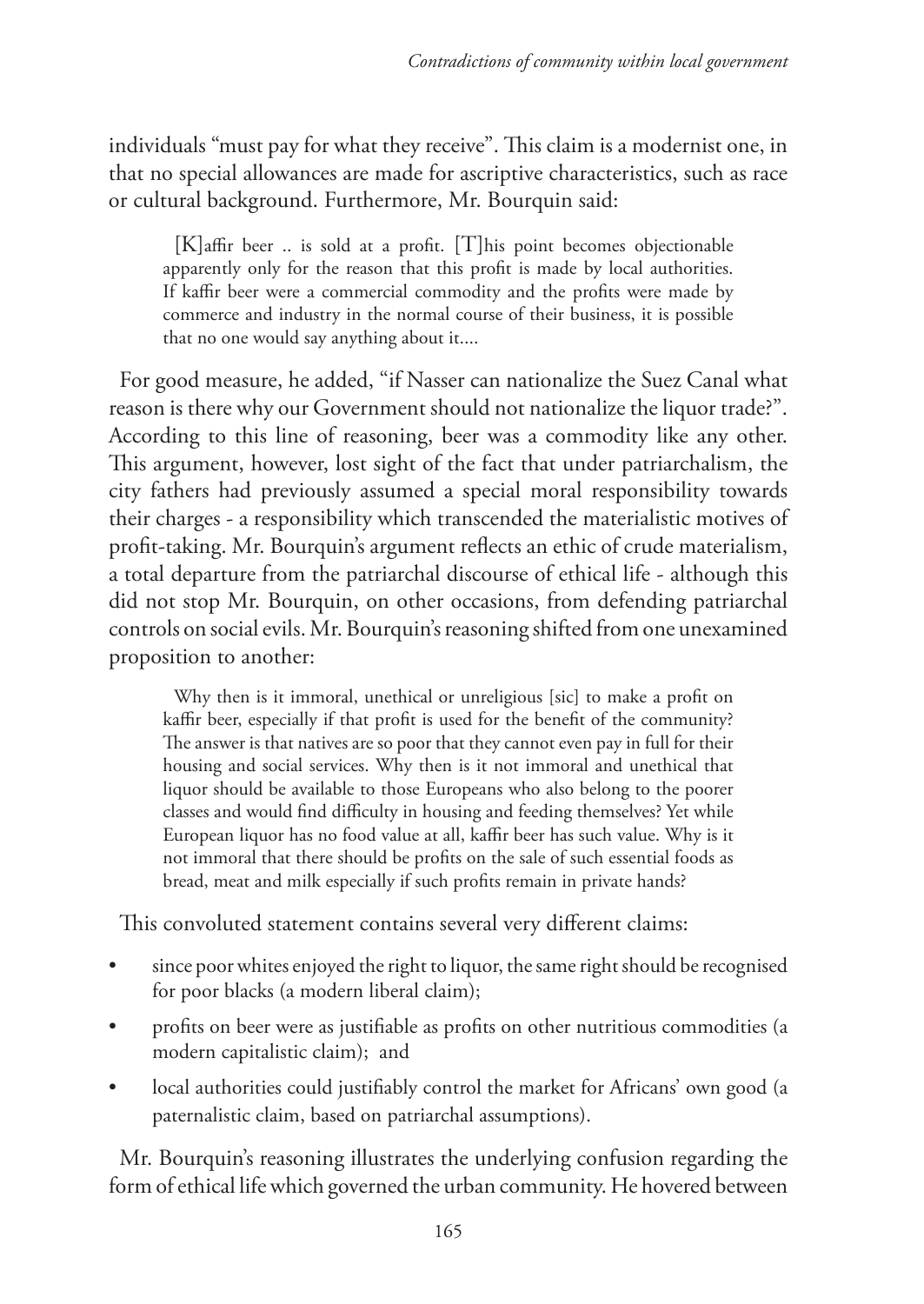individuals "must pay for what they receive". This claim is a modernist one, in that no special allowances are made for ascriptive characteristics, such as race or cultural background. Furthermore, Mr. Bourquin said:

[K]affir beer .. is sold at a profit. [T]his point becomes objectionable apparently only for the reason that this profit is made by local authorities. If kaffir beer were a commercial commodity and the profits were made by commerce and industry in the normal course of their business, it is possible that no one would say anything about it....

For good measure, he added, "if Nasser can nationalize the Suez Canal what reason is there why our Government should not nationalize the liquor trade?". According to this line of reasoning, beer was a commodity like any other. This argument, however, lost sight of the fact that under patriarchalism, the city fathers had previously assumed a special moral responsibility towards their charges - a responsibility which transcended the materialistic motives of profit-taking. Mr. Bourquin's argument reflects an ethic of crude materialism, a total departure from the patriarchal discourse of ethical life - although this did not stop Mr. Bourquin, on other occasions, from defending patriarchal controls on social evils. Mr. Bourquin's reasoning shifted from one unexamined proposition to another:

Why then is it immoral, unethical or unreligious [sic] to make a profit on kaffir beer, especially if that profit is used for the benefit of the community? The answer is that natives are so poor that they cannot even pay in full for their housing and social services. Why then is it not immoral and unethical that liquor should be available to those Europeans who also belong to the poorer classes and would find difficulty in housing and feeding themselves? Yet while European liquor has no food value at all, kaffir beer has such value. Why is it not immoral that there should be profits on the sale of such essential foods as bread, meat and milk especially if such profits remain in private hands?

This convoluted statement contains several very different claims:

- since poor whites enjoyed the right to liquor, the same right should be recognised for poor blacks (a modern liberal claim);
- profits on beer were as justifiable as profits on other nutritious commodities (a modern capitalistic claim); and
- local authorities could justifiably control the market for Africans' own good (a paternalistic claim, based on patriarchal assumptions).

Mr. Bourquin's reasoning illustrates the underlying confusion regarding the form of ethical life which governed the urban community. He hovered between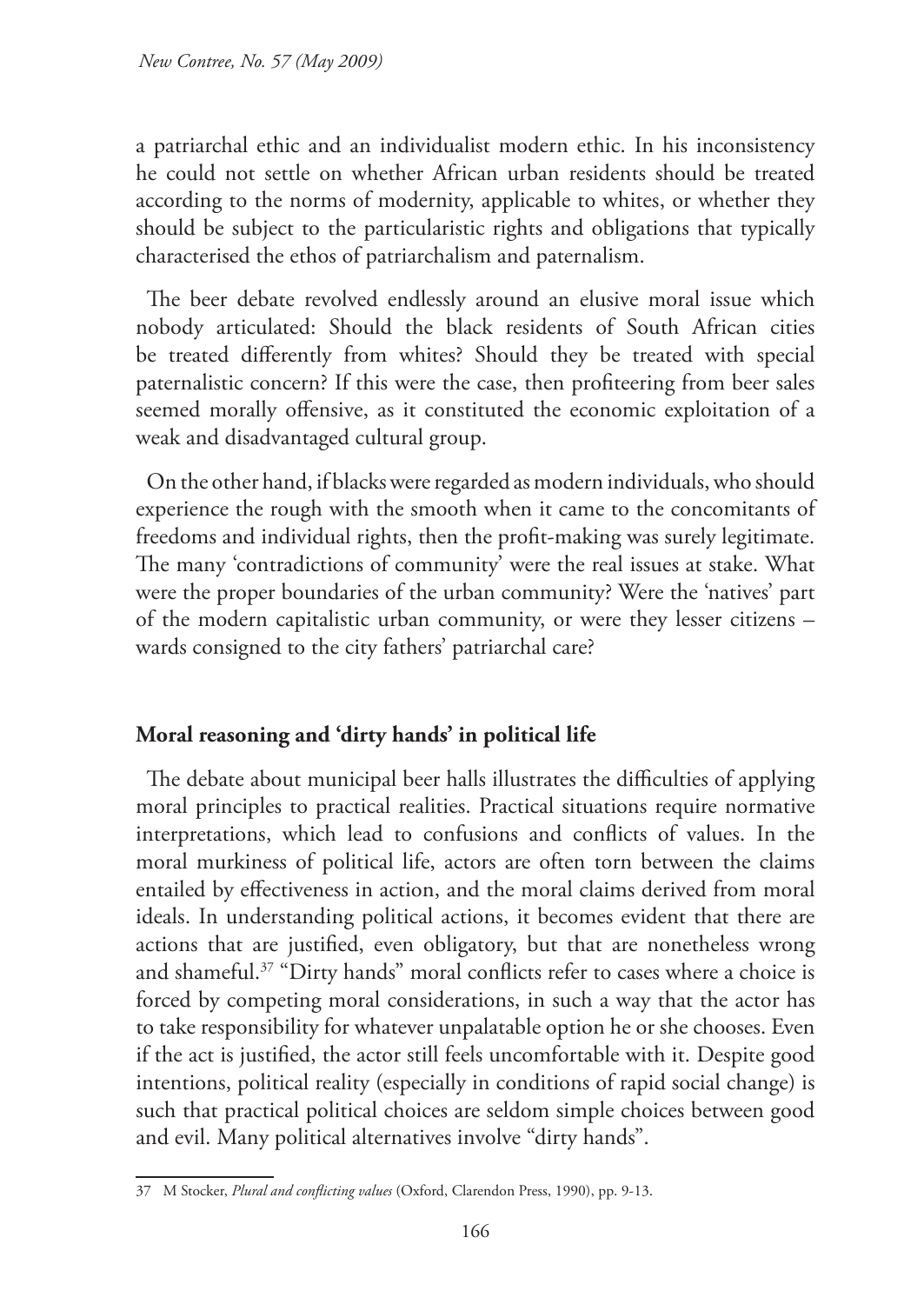a patriarchal ethic and an individualist modern ethic. In his inconsistency he could not settle on whether African urban residents should be treated according to the norms of modernity, applicable to whites, or whether they should be subject to the particularistic rights and obligations that typically characterised the ethos of patriarchalism and paternalism.

The beer debate revolved endlessly around an elusive moral issue which nobody articulated: Should the black residents of South African cities be treated differently from whites? Should they be treated with special paternalistic concern? If this were the case, then profiteering from beer sales seemed morally offensive, as it constituted the economic exploitation of a weak and disadvantaged cultural group.

On the other hand, if blacks were regarded as modern individuals, who should experience the rough with the smooth when it came to the concomitants of freedoms and individual rights, then the profit-making was surely legitimate. The many 'contradictions of community' were the real issues at stake. What were the proper boundaries of the urban community? Were the 'natives' part of the modern capitalistic urban community, or were they lesser citizens – wards consigned to the city fathers' patriarchal care?

## **Moral reasoning and 'dirty hands' in political life**

The debate about municipal beer halls illustrates the difficulties of applying moral principles to practical realities. Practical situations require normative interpretations, which lead to confusions and conflicts of values. In the moral murkiness of political life, actors are often torn between the claims entailed by effectiveness in action, and the moral claims derived from moral ideals. In understanding political actions, it becomes evident that there are actions that are justified, even obligatory, but that are nonetheless wrong and shameful.37 "Dirty hands" moral conflicts refer to cases where a choice is forced by competing moral considerations, in such a way that the actor has to take responsibility for whatever unpalatable option he or she chooses. Even if the act is justified, the actor still feels uncomfortable with it. Despite good intentions, political reality (especially in conditions of rapid social change) is such that practical political choices are seldom simple choices between good and evil. Many political alternatives involve "dirty hands".

<sup>37</sup> M Stocker, *Plural and conflicting values* (Oxford, Clarendon Press, 1990), pp. 9-13.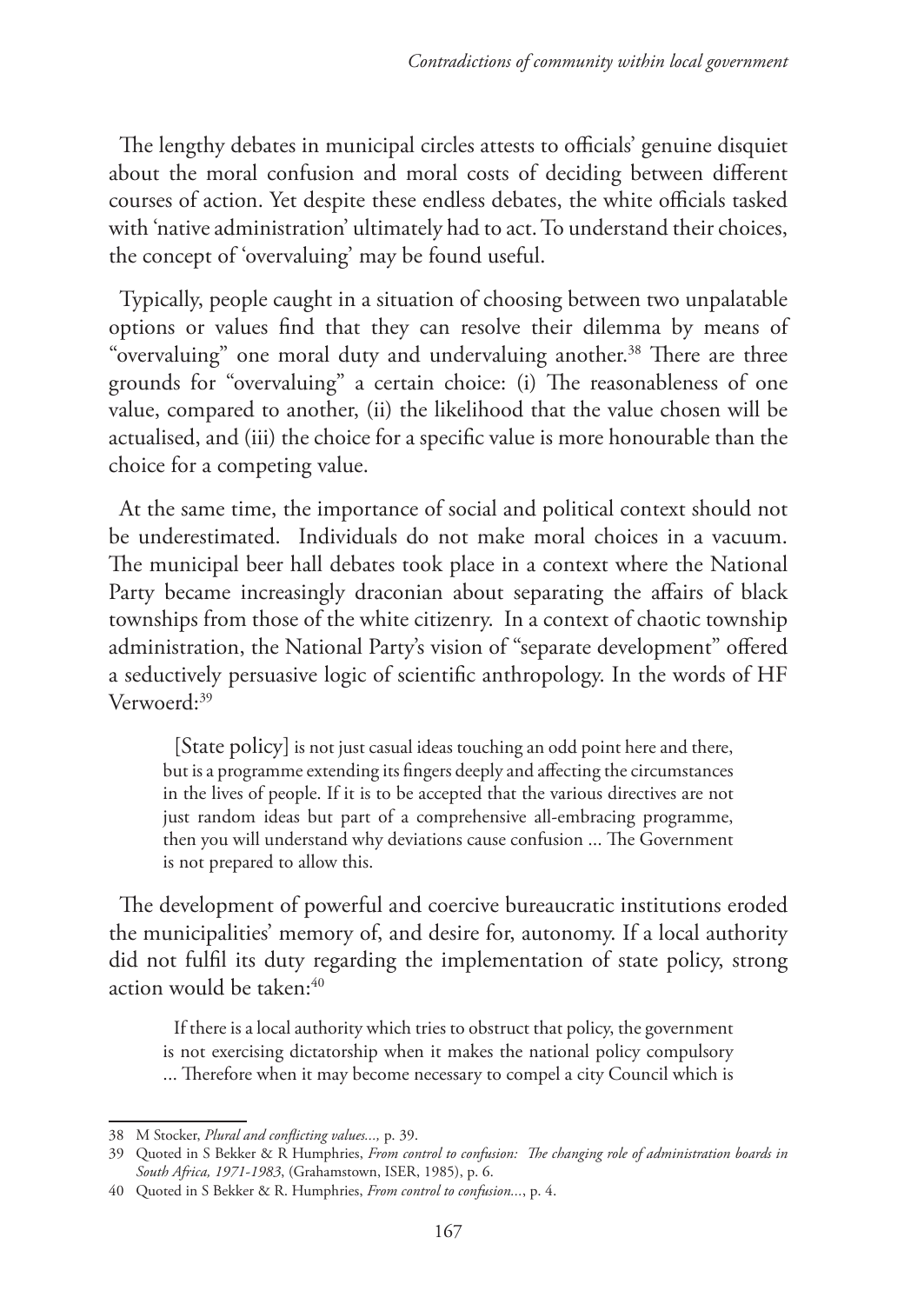The lengthy debates in municipal circles attests to officials' genuine disquiet about the moral confusion and moral costs of deciding between different courses of action. Yet despite these endless debates, the white officials tasked with 'native administration' ultimately had to act. To understand their choices, the concept of 'overvaluing' may be found useful.

Typically, people caught in a situation of choosing between two unpalatable options or values find that they can resolve their dilemma by means of "overvaluing" one moral duty and undervaluing another.<sup>38</sup> There are three grounds for "overvaluing" a certain choice: (i) The reasonableness of one value, compared to another, (ii) the likelihood that the value chosen will be actualised, and (iii) the choice for a specific value is more honourable than the choice for a competing value.

At the same time, the importance of social and political context should not be underestimated. Individuals do not make moral choices in a vacuum. The municipal beer hall debates took place in a context where the National Party became increasingly draconian about separating the affairs of black townships from those of the white citizenry. In a context of chaotic township administration, the National Party's vision of "separate development" offered a seductively persuasive logic of scientific anthropology. In the words of HF Verwoerd:<sup>39</sup>

[State policy] is not just casual ideas touching an odd point here and there, but is a programme extending its fingers deeply and affecting the circumstances in the lives of people. If it is to be accepted that the various directives are not just random ideas but part of a comprehensive all-embracing programme, then you will understand why deviations cause confusion ... The Government is not prepared to allow this.

The development of powerful and coercive bureaucratic institutions eroded the municipalities' memory of, and desire for, autonomy. If a local authority did not fulfil its duty regarding the implementation of state policy, strong action would be taken:<sup>40</sup>

If there is a local authority which tries to obstruct that policy, the government is not exercising dictatorship when it makes the national policy compulsory ... Therefore when it may become necessary to compel a city Council which is

<sup>38</sup> M Stocker, *Plural and conflicting values...,* p. 39.

<sup>39</sup> Quoted in S Bekker & R Humphries, *From control to confusion: The changing role of administration boards in South Africa, 1971-1983*, (Grahamstown, ISER, 1985), p. 6.

<sup>40</sup> Quoted in S Bekker & R. Humphries, *From control to confusion...*, p. 4.